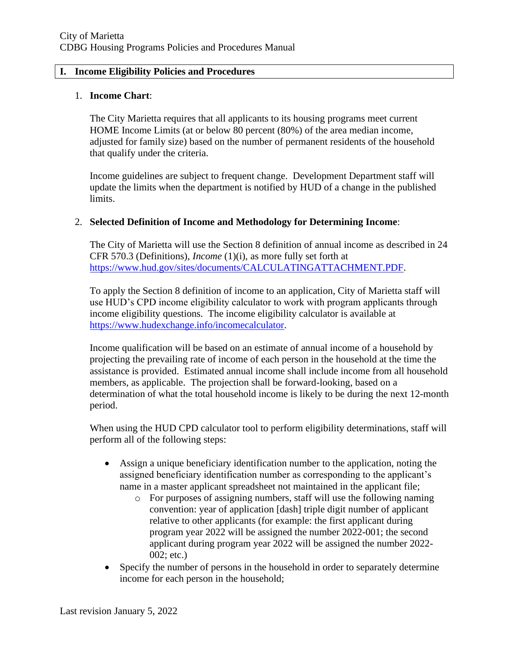#### **I. Income Eligibility Policies and Procedures**

#### 1. **Income Chart**:

The City Marietta requires that all applicants to its housing programs meet current HOME Income Limits (at or below 80 percent (80%) of the area median income, adjusted for family size) based on the number of permanent residents of the household that qualify under the criteria.

Income guidelines are subject to frequent change. Development Department staff will update the limits when the department is notified by HUD of a change in the published limits.

# 2. **Selected Definition of Income and Methodology for Determining Income**:

The City of Marietta will use the Section 8 definition of annual income as described in 24 CFR 570.3 (Definitions), *Income* (1)(i), as more fully set forth at [https://www.hud.gov/sites/documents/CALCULATINGATTACHMENT.PDF.](https://www.hud.gov/sites/documents/CALCULATINGATTACHMENT.PDF)

To apply the Section 8 definition of income to an application, City of Marietta staff will use HUD's CPD income eligibility calculator to work with program applicants through income eligibility questions. The income eligibility calculator is available at [https://www.hudexchange.info/incomecalculator.](https://www.hudexchange.info/incomecalculator)

Income qualification will be based on an estimate of annual income of a household by projecting the prevailing rate of income of each person in the household at the time the assistance is provided. Estimated annual income shall include income from all household members, as applicable. The projection shall be forward-looking, based on a determination of what the total household income is likely to be during the next 12-month period.

When using the HUD CPD calculator tool to perform eligibility determinations, staff will perform all of the following steps:

- Assign a unique beneficiary identification number to the application, noting the assigned beneficiary identification number as corresponding to the applicant's name in a master applicant spreadsheet not maintained in the applicant file;
	- o For purposes of assigning numbers, staff will use the following naming convention: year of application [dash] triple digit number of applicant relative to other applicants (for example: the first applicant during program year 2022 will be assigned the number 2022-001; the second applicant during program year 2022 will be assigned the number 2022- 002; etc.)
- Specify the number of persons in the household in order to separately determine income for each person in the household;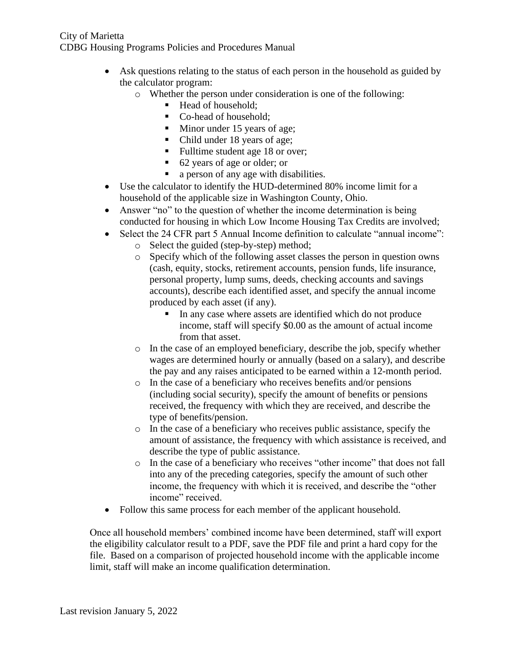- Ask questions relating to the status of each person in the household as guided by the calculator program:
	- o Whether the person under consideration is one of the following:
		- Head of household:
			- Co-head of household:
			- Minor under 15 years of age;
		- Child under 18 years of age;
		- Fulltime student age 18 or over;
		- 62 years of age or older; or
		- a person of any age with disabilities.
- Use the calculator to identify the HUD-determined 80% income limit for a household of the applicable size in Washington County, Ohio.
- Answer "no" to the question of whether the income determination is being conducted for housing in which Low Income Housing Tax Credits are involved;
- Select the 24 CFR part 5 Annual Income definition to calculate "annual income":
	- o Select the guided (step-by-step) method;
	- o Specify which of the following asset classes the person in question owns (cash, equity, stocks, retirement accounts, pension funds, life insurance, personal property, lump sums, deeds, checking accounts and savings accounts), describe each identified asset, and specify the annual income produced by each asset (if any).
		- In any case where assets are identified which do not produce income, staff will specify \$0.00 as the amount of actual income from that asset.
	- o In the case of an employed beneficiary, describe the job, specify whether wages are determined hourly or annually (based on a salary), and describe the pay and any raises anticipated to be earned within a 12-month period.
	- o In the case of a beneficiary who receives benefits and/or pensions (including social security), specify the amount of benefits or pensions received, the frequency with which they are received, and describe the type of benefits/pension.
	- o In the case of a beneficiary who receives public assistance, specify the amount of assistance, the frequency with which assistance is received, and describe the type of public assistance.
	- o In the case of a beneficiary who receives "other income" that does not fall into any of the preceding categories, specify the amount of such other income, the frequency with which it is received, and describe the "other income" received.
- Follow this same process for each member of the applicant household.

Once all household members' combined income have been determined, staff will export the eligibility calculator result to a PDF, save the PDF file and print a hard copy for the file. Based on a comparison of projected household income with the applicable income limit, staff will make an income qualification determination.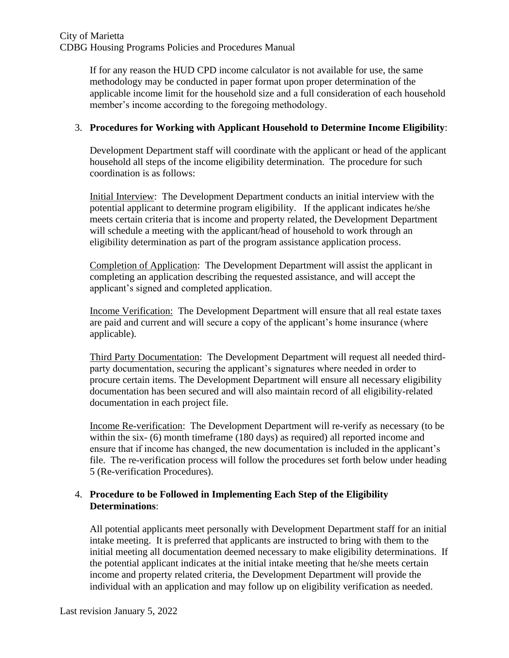If for any reason the HUD CPD income calculator is not available for use, the same methodology may be conducted in paper format upon proper determination of the applicable income limit for the household size and a full consideration of each household member's income according to the foregoing methodology.

# 3. **Procedures for Working with Applicant Household to Determine Income Eligibility**:

Development Department staff will coordinate with the applicant or head of the applicant household all steps of the income eligibility determination. The procedure for such coordination is as follows:

Initial Interview: The Development Department conducts an initial interview with the potential applicant to determine program eligibility. If the applicant indicates he/she meets certain criteria that is income and property related, the Development Department will schedule a meeting with the applicant/head of household to work through an eligibility determination as part of the program assistance application process.

Completion of Application: The Development Department will assist the applicant in completing an application describing the requested assistance, and will accept the applicant's signed and completed application.

Income Verification: The Development Department will ensure that all real estate taxes are paid and current and will secure a copy of the applicant's home insurance (where applicable).

Third Party Documentation: The Development Department will request all needed thirdparty documentation, securing the applicant's signatures where needed in order to procure certain items. The Development Department will ensure all necessary eligibility documentation has been secured and will also maintain record of all eligibility-related documentation in each project file.

Income Re-verification: The Development Department will re-verify as necessary (to be within the six- (6) month timeframe (180 days) as required) all reported income and ensure that if income has changed, the new documentation is included in the applicant's file. The re-verification process will follow the procedures set forth below under heading 5 (Re-verification Procedures).

# 4. **Procedure to be Followed in Implementing Each Step of the Eligibility Determinations**:

All potential applicants meet personally with Development Department staff for an initial intake meeting. It is preferred that applicants are instructed to bring with them to the initial meeting all documentation deemed necessary to make eligibility determinations. If the potential applicant indicates at the initial intake meeting that he/she meets certain income and property related criteria, the Development Department will provide the individual with an application and may follow up on eligibility verification as needed.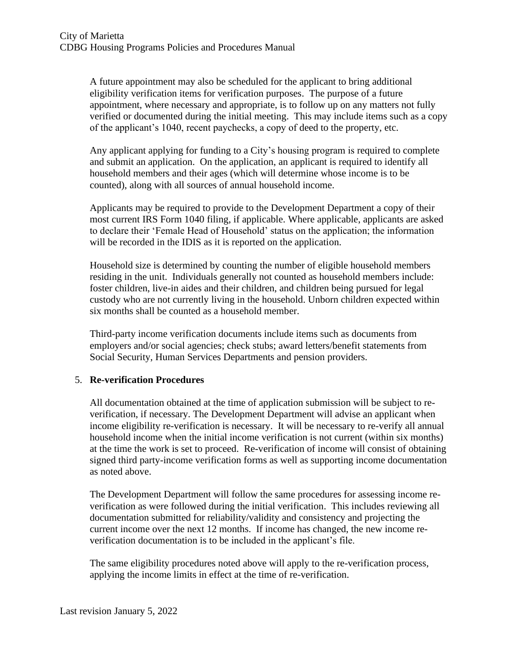A future appointment may also be scheduled for the applicant to bring additional eligibility verification items for verification purposes. The purpose of a future appointment, where necessary and appropriate, is to follow up on any matters not fully verified or documented during the initial meeting. This may include items such as a copy of the applicant's 1040, recent paychecks, a copy of deed to the property, etc.

Any applicant applying for funding to a City's housing program is required to complete and submit an application. On the application, an applicant is required to identify all household members and their ages (which will determine whose income is to be counted), along with all sources of annual household income.

Applicants may be required to provide to the Development Department a copy of their most current IRS Form 1040 filing, if applicable. Where applicable, applicants are asked to declare their 'Female Head of Household' status on the application; the information will be recorded in the IDIS as it is reported on the application.

Household size is determined by counting the number of eligible household members residing in the unit. Individuals generally not counted as household members include: foster children, live-in aides and their children, and children being pursued for legal custody who are not currently living in the household. Unborn children expected within six months shall be counted as a household member.

Third-party income verification documents include items such as documents from employers and/or social agencies; check stubs; award letters/benefit statements from Social Security, Human Services Departments and pension providers.

# 5. **Re-verification Procedures**

All documentation obtained at the time of application submission will be subject to reverification, if necessary. The Development Department will advise an applicant when income eligibility re-verification is necessary. It will be necessary to re-verify all annual household income when the initial income verification is not current (within six months) at the time the work is set to proceed. Re-verification of income will consist of obtaining signed third party-income verification forms as well as supporting income documentation as noted above.

The Development Department will follow the same procedures for assessing income reverification as were followed during the initial verification. This includes reviewing all documentation submitted for reliability/validity and consistency and projecting the current income over the next 12 months. If income has changed, the new income reverification documentation is to be included in the applicant's file.

The same eligibility procedures noted above will apply to the re-verification process, applying the income limits in effect at the time of re-verification.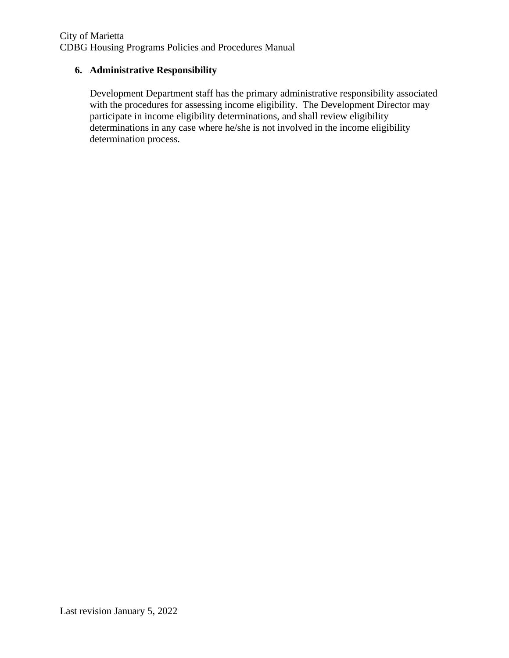# **6. Administrative Responsibility**

Development Department staff has the primary administrative responsibility associated with the procedures for assessing income eligibility. The Development Director may participate in income eligibility determinations, and shall review eligibility determinations in any case where he/she is not involved in the income eligibility determination process.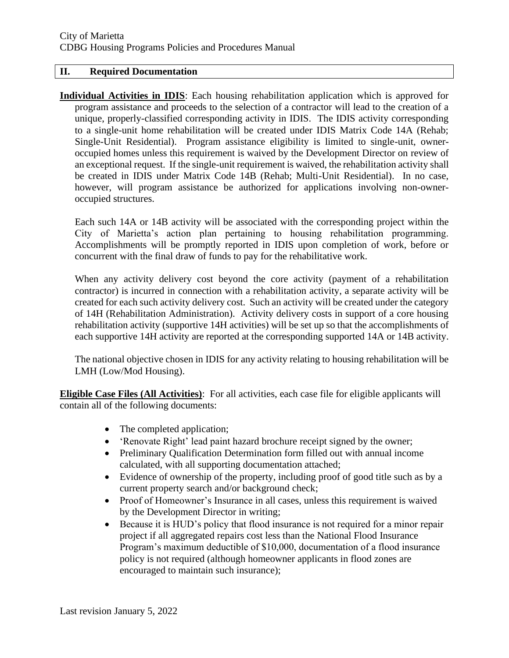#### **II. Required Documentation**

**Individual Activities in IDIS**: Each housing rehabilitation application which is approved for program assistance and proceeds to the selection of a contractor will lead to the creation of a unique, properly-classified corresponding activity in IDIS. The IDIS activity corresponding to a single-unit home rehabilitation will be created under IDIS Matrix Code 14A (Rehab; Single-Unit Residential). Program assistance eligibility is limited to single-unit, owneroccupied homes unless this requirement is waived by the Development Director on review of an exceptional request. If the single-unit requirement is waived, the rehabilitation activity shall be created in IDIS under Matrix Code 14B (Rehab; Multi-Unit Residential). In no case, however, will program assistance be authorized for applications involving non-owneroccupied structures.

Each such 14A or 14B activity will be associated with the corresponding project within the City of Marietta's action plan pertaining to housing rehabilitation programming. Accomplishments will be promptly reported in IDIS upon completion of work, before or concurrent with the final draw of funds to pay for the rehabilitative work.

When any activity delivery cost beyond the core activity (payment of a rehabilitation contractor) is incurred in connection with a rehabilitation activity, a separate activity will be created for each such activity delivery cost. Such an activity will be created under the category of 14H (Rehabilitation Administration). Activity delivery costs in support of a core housing rehabilitation activity (supportive 14H activities) will be set up so that the accomplishments of each supportive 14H activity are reported at the corresponding supported 14A or 14B activity.

The national objective chosen in IDIS for any activity relating to housing rehabilitation will be LMH (Low/Mod Housing).

**Eligible Case Files (All Activities)**: For all activities, each case file for eligible applicants will contain all of the following documents:

- The completed application;
- 'Renovate Right' lead paint hazard brochure receipt signed by the owner;
- Preliminary Qualification Determination form filled out with annual income calculated, with all supporting documentation attached;
- Evidence of ownership of the property, including proof of good title such as by a current property search and/or background check;
- Proof of Homeowner's Insurance in all cases, unless this requirement is waived by the Development Director in writing;
- Because it is HUD's policy that flood insurance is not required for a minor repair project if all aggregated repairs cost less than the National Flood Insurance Program's maximum deductible of \$10,000, documentation of a flood insurance policy is not required (although homeowner applicants in flood zones are encouraged to maintain such insurance);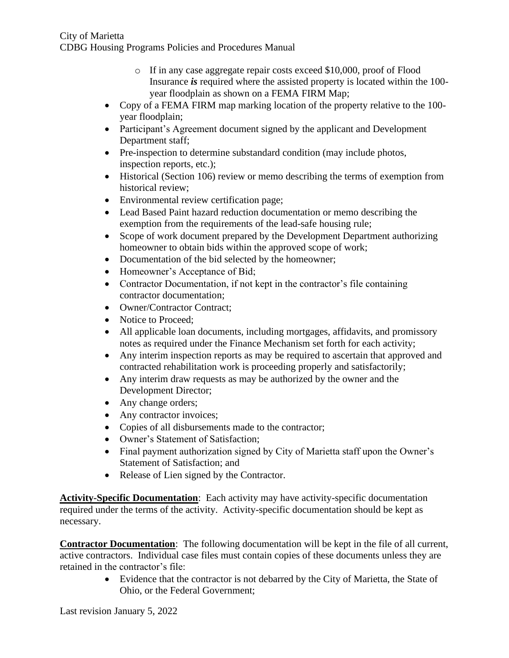- o If in any case aggregate repair costs exceed \$10,000, proof of Flood Insurance *is* required where the assisted property is located within the 100 year floodplain as shown on a FEMA FIRM Map;
- Copy of a FEMA FIRM map marking location of the property relative to the 100 year floodplain;
- Participant's Agreement document signed by the applicant and Development Department staff;
- Pre-inspection to determine substandard condition (may include photos, inspection reports, etc.);
- Historical (Section 106) review or memo describing the terms of exemption from historical review;
- Environmental review certification page;
- Lead Based Paint hazard reduction documentation or memo describing the exemption from the requirements of the lead-safe housing rule;
- Scope of work document prepared by the Development Department authorizing homeowner to obtain bids within the approved scope of work;
- Documentation of the bid selected by the homeowner;
- Homeowner's Acceptance of Bid;
- Contractor Documentation, if not kept in the contractor's file containing contractor documentation;
- Owner/Contractor Contract:
- Notice to Proceed;
- All applicable loan documents, including mortgages, affidavits, and promissory notes as required under the Finance Mechanism set forth for each activity;
- Any interim inspection reports as may be required to ascertain that approved and contracted rehabilitation work is proceeding properly and satisfactorily;
- Any interim draw requests as may be authorized by the owner and the Development Director;
- Any change orders;
- Any contractor invoices;
- Copies of all disbursements made to the contractor;
- Owner's Statement of Satisfaction;
- Final payment authorization signed by City of Marietta staff upon the Owner's Statement of Satisfaction; and
- Release of Lien signed by the Contractor.

**Activity-Specific Documentation**: Each activity may have activity-specific documentation required under the terms of the activity. Activity-specific documentation should be kept as necessary.

**Contractor Documentation**: The following documentation will be kept in the file of all current, active contractors. Individual case files must contain copies of these documents unless they are retained in the contractor's file:

> • Evidence that the contractor is not debarred by the City of Marietta, the State of Ohio, or the Federal Government;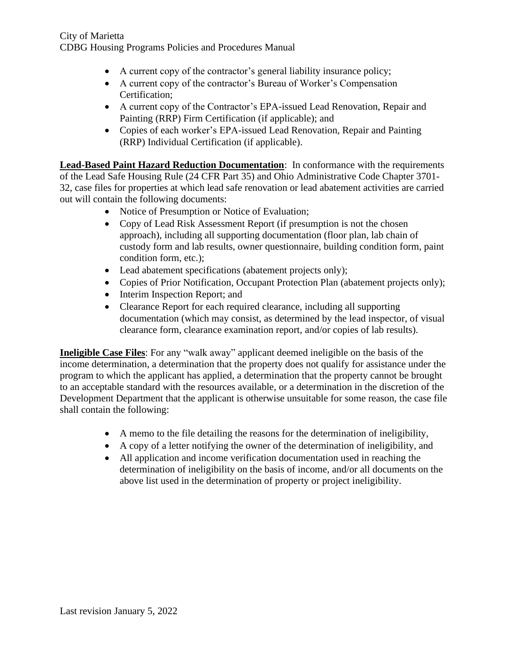- A current copy of the contractor's general liability insurance policy;
- A current copy of the contractor's Bureau of Worker's Compensation Certification;
- A current copy of the Contractor's EPA-issued Lead Renovation, Repair and Painting (RRP) Firm Certification (if applicable); and
- Copies of each worker's EPA-issued Lead Renovation, Repair and Painting (RRP) Individual Certification (if applicable).

**Lead-Based Paint Hazard Reduction Documentation**: In conformance with the requirements of the Lead Safe Housing Rule (24 CFR Part 35) and Ohio Administrative Code Chapter 3701- 32, case files for properties at which lead safe renovation or lead abatement activities are carried out will contain the following documents:

- Notice of Presumption or Notice of Evaluation;
- Copy of Lead Risk Assessment Report (if presumption is not the chosen approach), including all supporting documentation (floor plan, lab chain of custody form and lab results, owner questionnaire, building condition form, paint condition form, etc.);
- Lead abatement specifications (abatement projects only);
- Copies of Prior Notification, Occupant Protection Plan (abatement projects only);
- Interim Inspection Report; and
- Clearance Report for each required clearance, including all supporting documentation (which may consist, as determined by the lead inspector, of visual clearance form, clearance examination report, and/or copies of lab results).

**Ineligible Case Files**: For any "walk away" applicant deemed ineligible on the basis of the income determination, a determination that the property does not qualify for assistance under the program to which the applicant has applied, a determination that the property cannot be brought to an acceptable standard with the resources available, or a determination in the discretion of the Development Department that the applicant is otherwise unsuitable for some reason, the case file shall contain the following:

- A memo to the file detailing the reasons for the determination of ineligibility,
- A copy of a letter notifying the owner of the determination of ineligibility, and
- All application and income verification documentation used in reaching the determination of ineligibility on the basis of income, and/or all documents on the above list used in the determination of property or project ineligibility.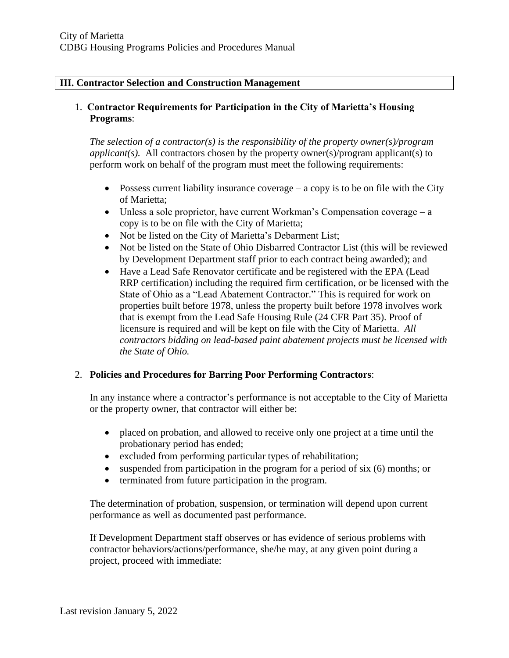#### **III. Contractor Selection and Construction Management**

### 1. **Contractor Requirements for Participation in the City of Marietta's Housing Programs**:

*The selection of a contractor(s) is the responsibility of the property owner(s)/program applicant(s).* All contractors chosen by the property owner(s)/program applicant(s) to perform work on behalf of the program must meet the following requirements:

- Possess current liability insurance coverage  $-$  a copy is to be on file with the City of Marietta;
- Unless a sole proprietor, have current Workman's Compensation coverage  $-a$ copy is to be on file with the City of Marietta;
- Not be listed on the City of Marietta's Debarment List;
- Not be listed on the State of Ohio Disbarred Contractor List (this will be reviewed by Development Department staff prior to each contract being awarded); and
- Have a Lead Safe Renovator certificate and be registered with the EPA (Lead RRP certification) including the required firm certification, or be licensed with the State of Ohio as a "Lead Abatement Contractor." This is required for work on properties built before 1978, unless the property built before 1978 involves work that is exempt from the Lead Safe Housing Rule (24 CFR Part 35). Proof of licensure is required and will be kept on file with the City of Marietta. *All contractors bidding on lead-based paint abatement projects must be licensed with the State of Ohio.*

# 2. **Policies and Procedures for Barring Poor Performing Contractors**:

In any instance where a contractor's performance is not acceptable to the City of Marietta or the property owner, that contractor will either be:

- placed on probation, and allowed to receive only one project at a time until the probationary period has ended;
- excluded from performing particular types of rehabilitation;
- suspended from participation in the program for a period of six (6) months; or
- terminated from future participation in the program.

The determination of probation, suspension, or termination will depend upon current performance as well as documented past performance.

If Development Department staff observes or has evidence of serious problems with contractor behaviors/actions/performance, she/he may, at any given point during a project, proceed with immediate: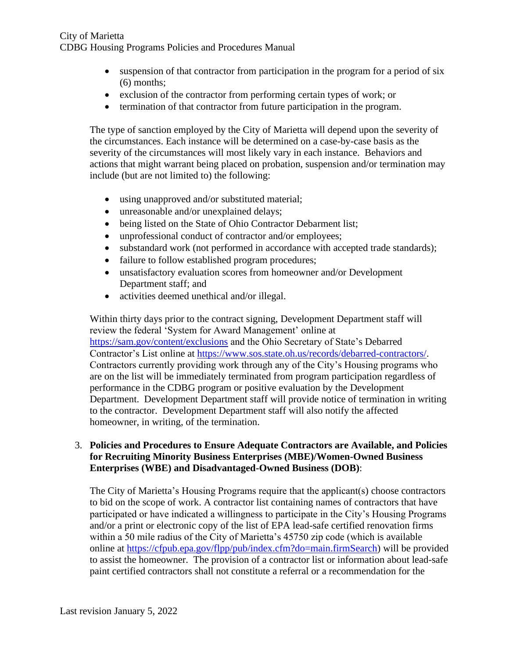- suspension of that contractor from participation in the program for a period of six (6) months;
- exclusion of the contractor from performing certain types of work; or
- termination of that contractor from future participation in the program.

The type of sanction employed by the City of Marietta will depend upon the severity of the circumstances. Each instance will be determined on a case-by-case basis as the severity of the circumstances will most likely vary in each instance. Behaviors and actions that might warrant being placed on probation, suspension and/or termination may include (but are not limited to) the following:

- using unapproved and/or substituted material;
- unreasonable and/or unexplained delays;
- being listed on the State of Ohio Contractor Debarment list;
- unprofessional conduct of contractor and/or employees;
- substandard work (not performed in accordance with accepted trade standards);
- failure to follow established program procedures;
- unsatisfactory evaluation scores from homeowner and/or Development Department staff; and
- activities deemed unethical and/or illegal.

Within thirty days prior to the contract signing, Development Department staff will review the federal 'System for Award Management' online at <https://sam.gov/content/exclusions> and the Ohio Secretary of State's Debarred Contractor's List online at [https://www.sos.state.oh.us/records/debarred-contractors/.](https://www.sos.state.oh.us/records/debarred-contractors/) Contractors currently providing work through any of the City's Housing programs who are on the list will be immediately terminated from program participation regardless of performance in the CDBG program or positive evaluation by the Development Department. Development Department staff will provide notice of termination in writing to the contractor. Development Department staff will also notify the affected homeowner, in writing, of the termination.

#### 3. **Policies and Procedures to Ensure Adequate Contractors are Available, and Policies for Recruiting Minority Business Enterprises (MBE)/Women-Owned Business Enterprises (WBE) and Disadvantaged-Owned Business (DOB)**:

The City of Marietta's Housing Programs require that the applicant(s) choose contractors to bid on the scope of work. A contractor list containing names of contractors that have participated or have indicated a willingness to participate in the City's Housing Programs and/or a print or electronic copy of the list of EPA lead-safe certified renovation firms within a 50 mile radius of the City of Marietta's 45750 zip code (which is available online at [https://cfpub.epa.gov/flpp/pub/index.cfm?do=main.firmSearch\)](https://cfpub.epa.gov/flpp/pub/index.cfm?do=main.firmSearch) will be provided to assist the homeowner. The provision of a contractor list or information about lead-safe paint certified contractors shall not constitute a referral or a recommendation for the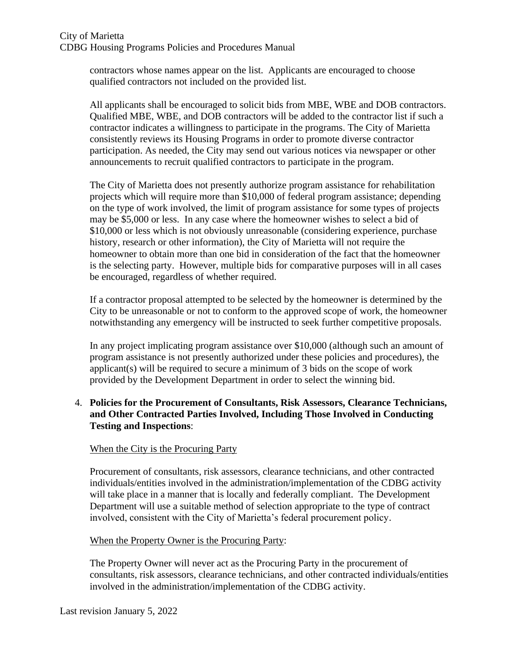contractors whose names appear on the list. Applicants are encouraged to choose qualified contractors not included on the provided list.

All applicants shall be encouraged to solicit bids from MBE, WBE and DOB contractors. Qualified MBE, WBE, and DOB contractors will be added to the contractor list if such a contractor indicates a willingness to participate in the programs. The City of Marietta consistently reviews its Housing Programs in order to promote diverse contractor participation. As needed, the City may send out various notices via newspaper or other announcements to recruit qualified contractors to participate in the program.

The City of Marietta does not presently authorize program assistance for rehabilitation projects which will require more than \$10,000 of federal program assistance; depending on the type of work involved, the limit of program assistance for some types of projects may be \$5,000 or less. In any case where the homeowner wishes to select a bid of \$10,000 or less which is not obviously unreasonable (considering experience, purchase history, research or other information), the City of Marietta will not require the homeowner to obtain more than one bid in consideration of the fact that the homeowner is the selecting party. However, multiple bids for comparative purposes will in all cases be encouraged, regardless of whether required.

If a contractor proposal attempted to be selected by the homeowner is determined by the City to be unreasonable or not to conform to the approved scope of work, the homeowner notwithstanding any emergency will be instructed to seek further competitive proposals.

In any project implicating program assistance over \$10,000 (although such an amount of program assistance is not presently authorized under these policies and procedures), the applicant(s) will be required to secure a minimum of 3 bids on the scope of work provided by the Development Department in order to select the winning bid.

# 4. **Policies for the Procurement of Consultants, Risk Assessors, Clearance Technicians, and Other Contracted Parties Involved, Including Those Involved in Conducting Testing and Inspections**:

# When the City is the Procuring Party

Procurement of consultants, risk assessors, clearance technicians, and other contracted individuals/entities involved in the administration/implementation of the CDBG activity will take place in a manner that is locally and federally compliant. The Development Department will use a suitable method of selection appropriate to the type of contract involved, consistent with the City of Marietta's federal procurement policy.

#### When the Property Owner is the Procuring Party:

The Property Owner will never act as the Procuring Party in the procurement of consultants, risk assessors, clearance technicians, and other contracted individuals/entities involved in the administration/implementation of the CDBG activity.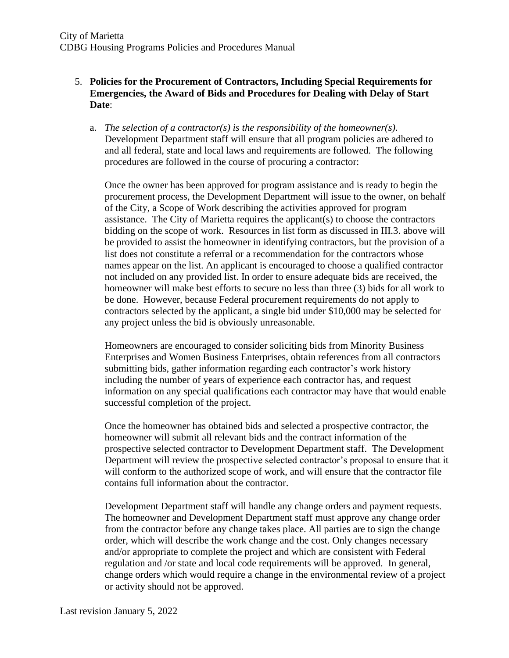# 5. **Policies for the Procurement of Contractors, Including Special Requirements for Emergencies, the Award of Bids and Procedures for Dealing with Delay of Start Date**:

a. *The selection of a contractor(s) is the responsibility of the homeowner(s).*  Development Department staff will ensure that all program policies are adhered to and all federal, state and local laws and requirements are followed. The following procedures are followed in the course of procuring a contractor:

Once the owner has been approved for program assistance and is ready to begin the procurement process, the Development Department will issue to the owner, on behalf of the City, a Scope of Work describing the activities approved for program assistance. The City of Marietta requires the applicant(s) to choose the contractors bidding on the scope of work. Resources in list form as discussed in III.3. above will be provided to assist the homeowner in identifying contractors, but the provision of a list does not constitute a referral or a recommendation for the contractors whose names appear on the list. An applicant is encouraged to choose a qualified contractor not included on any provided list. In order to ensure adequate bids are received, the homeowner will make best efforts to secure no less than three (3) bids for all work to be done. However, because Federal procurement requirements do not apply to contractors selected by the applicant, a single bid under \$10,000 may be selected for any project unless the bid is obviously unreasonable.

Homeowners are encouraged to consider soliciting bids from Minority Business Enterprises and Women Business Enterprises, obtain references from all contractors submitting bids, gather information regarding each contractor's work history including the number of years of experience each contractor has, and request information on any special qualifications each contractor may have that would enable successful completion of the project.

Once the homeowner has obtained bids and selected a prospective contractor, the homeowner will submit all relevant bids and the contract information of the prospective selected contractor to Development Department staff. The Development Department will review the prospective selected contractor's proposal to ensure that it will conform to the authorized scope of work, and will ensure that the contractor file contains full information about the contractor.

Development Department staff will handle any change orders and payment requests. The homeowner and Development Department staff must approve any change order from the contractor before any change takes place. All parties are to sign the change order, which will describe the work change and the cost. Only changes necessary and/or appropriate to complete the project and which are consistent with Federal regulation and /or state and local code requirements will be approved. In general, change orders which would require a change in the environmental review of a project or activity should not be approved.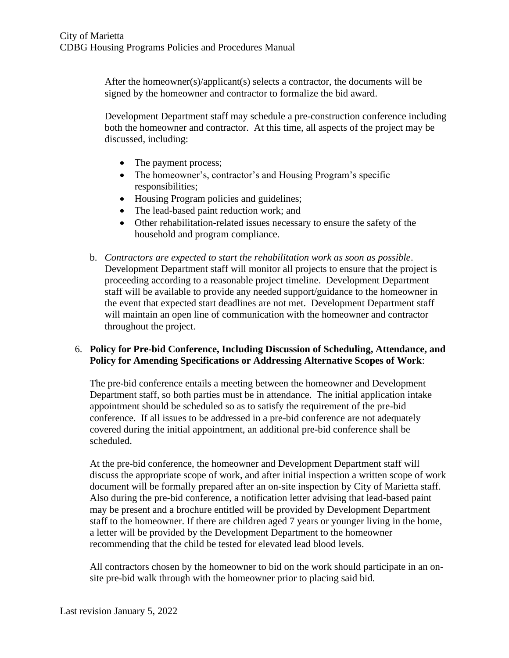After the homeowner(s)/applicant(s) selects a contractor, the documents will be signed by the homeowner and contractor to formalize the bid award.

Development Department staff may schedule a pre-construction conference including both the homeowner and contractor. At this time, all aspects of the project may be discussed, including:

- The payment process;
- The homeowner's, contractor's and Housing Program's specific responsibilities;
- Housing Program policies and guidelines;
- The lead-based paint reduction work; and
- Other rehabilitation-related issues necessary to ensure the safety of the household and program compliance.
- b. *Contractors are expected to start the rehabilitation work as soon as possible*. Development Department staff will monitor all projects to ensure that the project is proceeding according to a reasonable project timeline. Development Department staff will be available to provide any needed support/guidance to the homeowner in the event that expected start deadlines are not met. Development Department staff will maintain an open line of communication with the homeowner and contractor throughout the project.

#### 6. **Policy for Pre-bid Conference, Including Discussion of Scheduling, Attendance, and Policy for Amending Specifications or Addressing Alternative Scopes of Work**:

The pre-bid conference entails a meeting between the homeowner and Development Department staff, so both parties must be in attendance. The initial application intake appointment should be scheduled so as to satisfy the requirement of the pre-bid conference. If all issues to be addressed in a pre-bid conference are not adequately covered during the initial appointment, an additional pre-bid conference shall be scheduled.

At the pre-bid conference, the homeowner and Development Department staff will discuss the appropriate scope of work, and after initial inspection a written scope of work document will be formally prepared after an on-site inspection by City of Marietta staff. Also during the pre-bid conference, a notification letter advising that lead-based paint may be present and a brochure entitled will be provided by Development Department staff to the homeowner. If there are children aged 7 years or younger living in the home, a letter will be provided by the Development Department to the homeowner recommending that the child be tested for elevated lead blood levels.

All contractors chosen by the homeowner to bid on the work should participate in an onsite pre-bid walk through with the homeowner prior to placing said bid.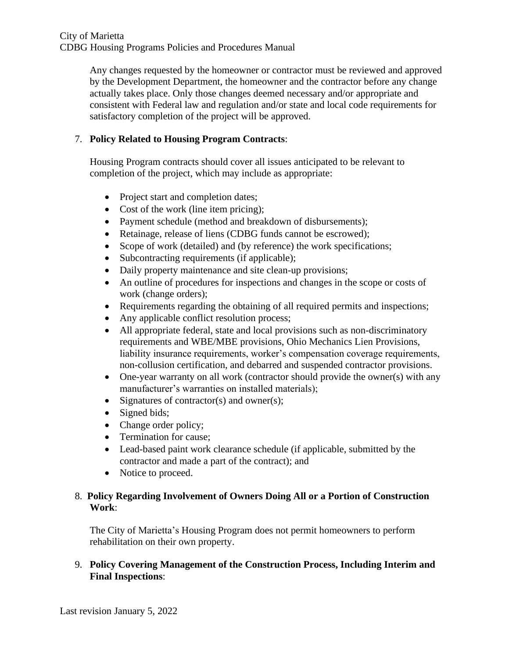Any changes requested by the homeowner or contractor must be reviewed and approved by the Development Department, the homeowner and the contractor before any change actually takes place. Only those changes deemed necessary and/or appropriate and consistent with Federal law and regulation and/or state and local code requirements for satisfactory completion of the project will be approved.

# 7. **Policy Related to Housing Program Contracts**:

Housing Program contracts should cover all issues anticipated to be relevant to completion of the project, which may include as appropriate:

- Project start and completion dates;
- Cost of the work (line item pricing);
- Payment schedule (method and breakdown of disbursements);
- Retainage, release of liens (CDBG funds cannot be escrowed);
- Scope of work (detailed) and (by reference) the work specifications;
- Subcontracting requirements (if applicable);
- Daily property maintenance and site clean-up provisions;
- An outline of procedures for inspections and changes in the scope or costs of work (change orders);
- Requirements regarding the obtaining of all required permits and inspections;
- Any applicable conflict resolution process;
- All appropriate federal, state and local provisions such as non-discriminatory requirements and WBE/MBE provisions, Ohio Mechanics Lien Provisions, liability insurance requirements, worker's compensation coverage requirements, non-collusion certification, and debarred and suspended contractor provisions.
- One-year warranty on all work (contractor should provide the owner(s) with any manufacturer's warranties on installed materials);
- Signatures of contractor(s) and owner(s);
- Signed bids;
- Change order policy;
- Termination for cause;
- Lead-based paint work clearance schedule (if applicable, submitted by the contractor and made a part of the contract); and
- Notice to proceed.

# 8. **Policy Regarding Involvement of Owners Doing All or a Portion of Construction Work**:

The City of Marietta's Housing Program does not permit homeowners to perform rehabilitation on their own property.

# 9. **Policy Covering Management of the Construction Process, Including Interim and Final Inspections**: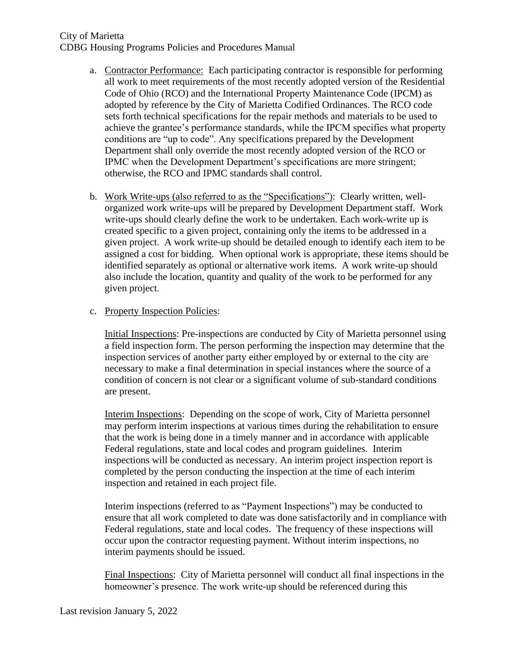- a. Contractor Performance: Each participating contractor is responsible for performing all work to meet requirements of the most recently adopted version of the Residential Code of Ohio (RCO) and the International Property Maintenance Code (IPCM) as adopted by reference by the City of Marietta Codified Ordinances. The RCO code sets forth technical specifications for the repair methods and materials to be used to achieve the grantee's performance standards, while the IPCM specifies what property conditions are "up to code". Any specifications prepared by the Development Department shall only override the most recently adopted version of the RCO or IPMC when the Development Department's specifications are more stringent; otherwise, the RCO and IPMC standards shall control.
- b. Work Write-ups (also referred to as the "Specifications"): Clearly written, wellorganized work write-ups will be prepared by Development Department staff. Work write-ups should clearly define the work to be undertaken. Each work-write up is created specific to a given project, containing only the items to be addressed in a given project. A work write-up should be detailed enough to identify each item to be assigned a cost for bidding. When optional work is appropriate, these items should be identified separately as optional or alternative work items. A work write-up should also include the location, quantity and quality of the work to be performed for any given project.

#### c. Property Inspection Policies:

Initial Inspections: Pre-inspections are conducted by City of Marietta personnel using a field inspection form. The person performing the inspection may determine that the inspection services of another party either employed by or external to the city are necessary to make a final determination in special instances where the source of a condition of concern is not clear or a significant volume of sub-standard conditions are present.

Interim Inspections: Depending on the scope of work, City of Marietta personnel may perform interim inspections at various times during the rehabilitation to ensure that the work is being done in a timely manner and in accordance with applicable Federal regulations, state and local codes and program guidelines. Interim inspections will be conducted as necessary. An interim project inspection report is completed by the person conducting the inspection at the time of each interim inspection and retained in each project file.

Interim inspections (referred to as "Payment Inspections") may be conducted to ensure that all work completed to date was done satisfactorily and in compliance with Federal regulations, state and local codes. The frequency of these inspections will occur upon the contractor requesting payment. Without interim inspections, no interim payments should be issued.

Final Inspections: City of Marietta personnel will conduct all final inspections in the homeowner's presence. The work write-up should be referenced during this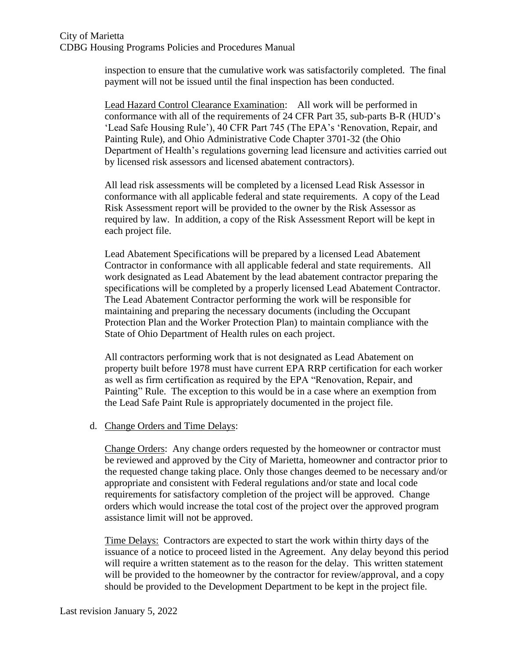inspection to ensure that the cumulative work was satisfactorily completed. The final payment will not be issued until the final inspection has been conducted.

Lead Hazard Control Clearance Examination: All work will be performed in conformance with all of the requirements of 24 CFR Part 35, sub-parts B-R (HUD's 'Lead Safe Housing Rule'), 40 CFR Part 745 (The EPA's 'Renovation, Repair, and Painting Rule), and Ohio Administrative Code Chapter 3701-32 (the Ohio Department of Health's regulations governing lead licensure and activities carried out by licensed risk assessors and licensed abatement contractors).

All lead risk assessments will be completed by a licensed Lead Risk Assessor in conformance with all applicable federal and state requirements. A copy of the Lead Risk Assessment report will be provided to the owner by the Risk Assessor as required by law. In addition, a copy of the Risk Assessment Report will be kept in each project file.

Lead Abatement Specifications will be prepared by a licensed Lead Abatement Contractor in conformance with all applicable federal and state requirements. All work designated as Lead Abatement by the lead abatement contractor preparing the specifications will be completed by a properly licensed Lead Abatement Contractor. The Lead Abatement Contractor performing the work will be responsible for maintaining and preparing the necessary documents (including the Occupant Protection Plan and the Worker Protection Plan) to maintain compliance with the State of Ohio Department of Health rules on each project.

All contractors performing work that is not designated as Lead Abatement on property built before 1978 must have current EPA RRP certification for each worker as well as firm certification as required by the EPA "Renovation, Repair, and Painting" Rule. The exception to this would be in a case where an exemption from the Lead Safe Paint Rule is appropriately documented in the project file.

#### d. Change Orders and Time Delays:

Change Orders: Any change orders requested by the homeowner or contractor must be reviewed and approved by the City of Marietta, homeowner and contractor prior to the requested change taking place. Only those changes deemed to be necessary and/or appropriate and consistent with Federal regulations and/or state and local code requirements for satisfactory completion of the project will be approved. Change orders which would increase the total cost of the project over the approved program assistance limit will not be approved.

Time Delays: Contractors are expected to start the work within thirty days of the issuance of a notice to proceed listed in the Agreement. Any delay beyond this period will require a written statement as to the reason for the delay. This written statement will be provided to the homeowner by the contractor for review/approval, and a copy should be provided to the Development Department to be kept in the project file.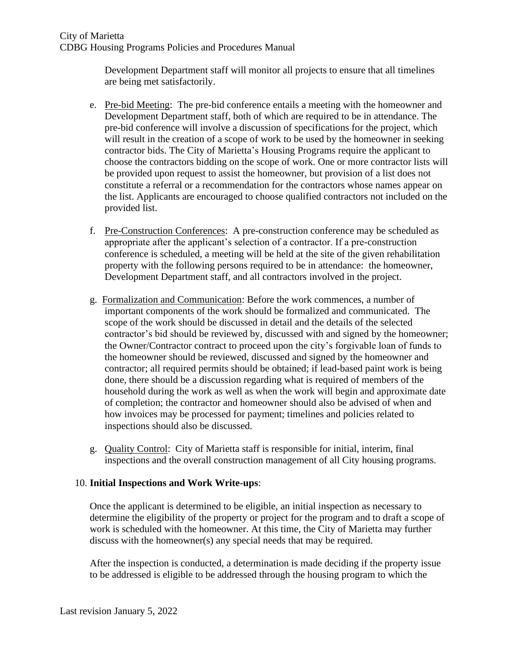Development Department staff will monitor all projects to ensure that all timelines are being met satisfactorily.

- e. Pre-bid Meeting: The pre-bid conference entails a meeting with the homeowner and Development Department staff, both of which are required to be in attendance. The pre-bid conference will involve a discussion of specifications for the project, which will result in the creation of a scope of work to be used by the homeowner in seeking contractor bids. The City of Marietta's Housing Programs require the applicant to choose the contractors bidding on the scope of work. One or more contractor lists will be provided upon request to assist the homeowner, but provision of a list does not constitute a referral or a recommendation for the contractors whose names appear on the list. Applicants are encouraged to choose qualified contractors not included on the provided list.
- f. Pre-Construction Conferences: A pre-construction conference may be scheduled as appropriate after the applicant's selection of a contractor. If a pre-construction conference is scheduled, a meeting will be held at the site of the given rehabilitation property with the following persons required to be in attendance: the homeowner, Development Department staff, and all contractors involved in the project.
- g. Formalization and Communication: Before the work commences, a number of important components of the work should be formalized and communicated. The scope of the work should be discussed in detail and the details of the selected contractor's bid should be reviewed by, discussed with and signed by the homeowner; the Owner/Contractor contract to proceed upon the city's forgivable loan of funds to the homeowner should be reviewed, discussed and signed by the homeowner and contractor; all required permits should be obtained; if lead-based paint work is being done, there should be a discussion regarding what is required of members of the household during the work as well as when the work will begin and approximate date of completion; the contractor and homeowner should also be advised of when and how invoices may be processed for payment; timelines and policies related to inspections should also be discussed.
- g. Quality Control: City of Marietta staff is responsible for initial, interim, final inspections and the overall construction management of all City housing programs.

# 10. **Initial Inspections and Work Write-ups**:

Once the applicant is determined to be eligible, an initial inspection as necessary to determine the eligibility of the property or project for the program and to draft a scope of work is scheduled with the homeowner. At this time, the City of Marietta may further discuss with the homeowner(s) any special needs that may be required.

After the inspection is conducted, a determination is made deciding if the property issue to be addressed is eligible to be addressed through the housing program to which the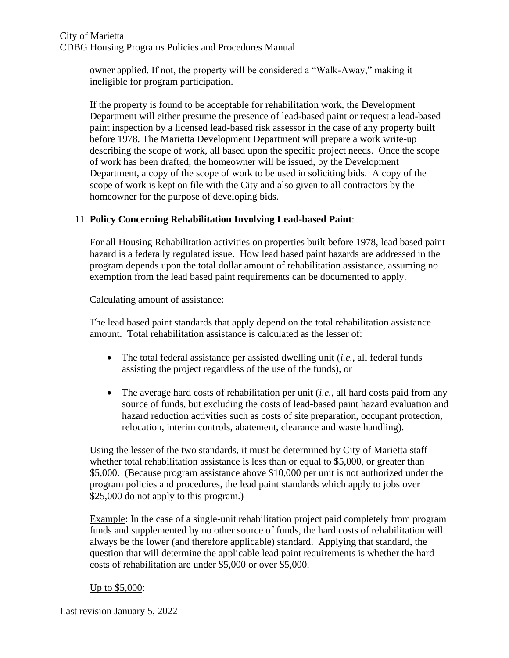owner applied. If not, the property will be considered a "Walk-Away," making it ineligible for program participation.

If the property is found to be acceptable for rehabilitation work, the Development Department will either presume the presence of lead-based paint or request a lead-based paint inspection by a licensed lead-based risk assessor in the case of any property built before 1978. The Marietta Development Department will prepare a work write-up describing the scope of work, all based upon the specific project needs. Once the scope of work has been drafted, the homeowner will be issued, by the Development Department, a copy of the scope of work to be used in soliciting bids. A copy of the scope of work is kept on file with the City and also given to all contractors by the homeowner for the purpose of developing bids.

# 11. **Policy Concerning Rehabilitation Involving Lead-based Paint**:

For all Housing Rehabilitation activities on properties built before 1978, lead based paint hazard is a federally regulated issue. How lead based paint hazards are addressed in the program depends upon the total dollar amount of rehabilitation assistance, assuming no exemption from the lead based paint requirements can be documented to apply.

# Calculating amount of assistance:

The lead based paint standards that apply depend on the total rehabilitation assistance amount. Total rehabilitation assistance is calculated as the lesser of:

- The total federal assistance per assisted dwelling unit (*i.e.*, all federal funds assisting the project regardless of the use of the funds), or
- The average hard costs of rehabilitation per unit (*i.e.*, all hard costs paid from any source of funds, but excluding the costs of lead-based paint hazard evaluation and hazard reduction activities such as costs of site preparation, occupant protection, relocation, interim controls, abatement, clearance and waste handling).

Using the lesser of the two standards, it must be determined by City of Marietta staff whether total rehabilitation assistance is less than or equal to \$5,000, or greater than \$5,000. (Because program assistance above \$10,000 per unit is not authorized under the program policies and procedures, the lead paint standards which apply to jobs over \$25,000 do not apply to this program.)

Example: In the case of a single-unit rehabilitation project paid completely from program funds and supplemented by no other source of funds, the hard costs of rehabilitation will always be the lower (and therefore applicable) standard. Applying that standard, the question that will determine the applicable lead paint requirements is whether the hard costs of rehabilitation are under \$5,000 or over \$5,000.

# Up to \$5,000: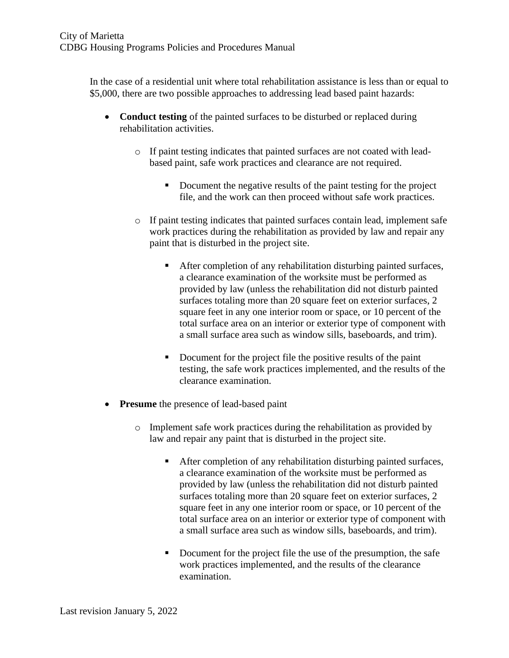In the case of a residential unit where total rehabilitation assistance is less than or equal to \$5,000, there are two possible approaches to addressing lead based paint hazards:

- **Conduct testing** of the painted surfaces to be disturbed or replaced during rehabilitation activities.
	- o If paint testing indicates that painted surfaces are not coated with leadbased paint, safe work practices and clearance are not required.
		- Document the negative results of the paint testing for the project file, and the work can then proceed without safe work practices.
	- $\circ$  If paint testing indicates that painted surfaces contain lead, implement safe work practices during the rehabilitation as provided by law and repair any paint that is disturbed in the project site.
		- After completion of any rehabilitation disturbing painted surfaces, a clearance examination of the worksite must be performed as provided by law (unless the rehabilitation did not disturb painted surfaces totaling more than 20 square feet on exterior surfaces, 2 square feet in any one interior room or space, or 10 percent of the total surface area on an interior or exterior type of component with a small surface area such as window sills, baseboards, and trim).
		- Document for the project file the positive results of the paint testing, the safe work practices implemented, and the results of the clearance examination.
- **Presume** the presence of lead-based paint
	- o Implement safe work practices during the rehabilitation as provided by law and repair any paint that is disturbed in the project site.
		- After completion of any rehabilitation disturbing painted surfaces, a clearance examination of the worksite must be performed as provided by law (unless the rehabilitation did not disturb painted surfaces totaling more than 20 square feet on exterior surfaces, 2 square feet in any one interior room or space, or 10 percent of the total surface area on an interior or exterior type of component with a small surface area such as window sills, baseboards, and trim).
		- Document for the project file the use of the presumption, the safe work practices implemented, and the results of the clearance examination.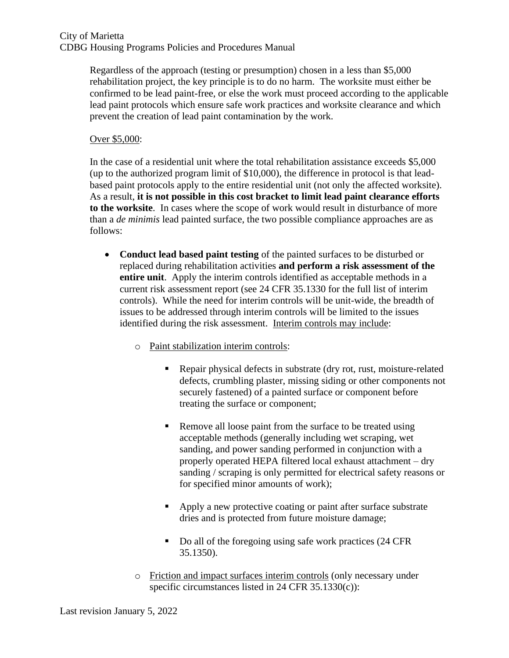Regardless of the approach (testing or presumption) chosen in a less than \$5,000 rehabilitation project, the key principle is to do no harm. The worksite must either be confirmed to be lead paint-free, or else the work must proceed according to the applicable lead paint protocols which ensure safe work practices and worksite clearance and which prevent the creation of lead paint contamination by the work.

#### Over \$5,000:

In the case of a residential unit where the total rehabilitation assistance exceeds \$5,000 (up to the authorized program limit of \$10,000), the difference in protocol is that leadbased paint protocols apply to the entire residential unit (not only the affected worksite). As a result, **it is not possible in this cost bracket to limit lead paint clearance efforts to the worksite**. In cases where the scope of work would result in disturbance of more than a *de minimis* lead painted surface, the two possible compliance approaches are as follows:

- **Conduct lead based paint testing** of the painted surfaces to be disturbed or replaced during rehabilitation activities **and perform a risk assessment of the entire unit**. Apply the interim controls identified as acceptable methods in a current risk assessment report (see 24 CFR 35.1330 for the full list of interim controls). While the need for interim controls will be unit-wide, the breadth of issues to be addressed through interim controls will be limited to the issues identified during the risk assessment. Interim controls may include:
	- o Paint stabilization interim controls:
		- Repair physical defects in substrate (dry rot, rust, moisture-related defects, crumbling plaster, missing siding or other components not securely fastened) of a painted surface or component before treating the surface or component;
		- Remove all loose paint from the surface to be treated using acceptable methods (generally including wet scraping, wet sanding, and power sanding performed in conjunction with a properly operated HEPA filtered local exhaust attachment – dry sanding / scraping is only permitted for electrical safety reasons or for specified minor amounts of work);
		- Apply a new protective coating or paint after surface substrate dries and is protected from future moisture damage;
		- Do all of the foregoing using safe work practices (24 CFR 35.1350).
	- o Friction and impact surfaces interim controls (only necessary under specific circumstances listed in 24 CFR 35.1330(c)):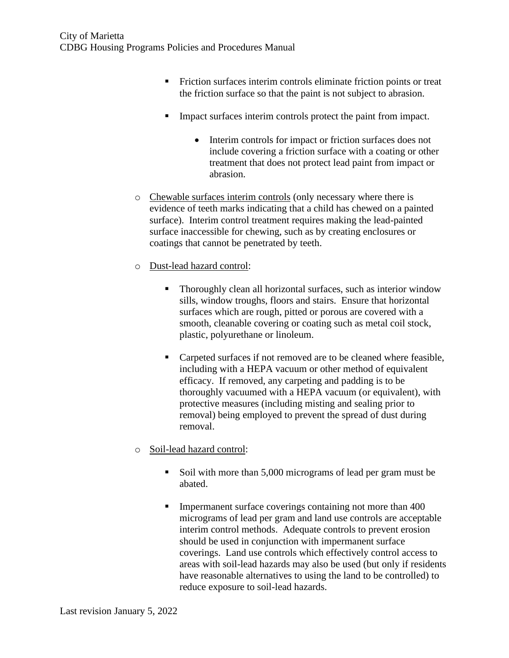- **•** Friction surfaces interim controls eliminate friction points or treat the friction surface so that the paint is not subject to abrasion.
- Impact surfaces interim controls protect the paint from impact.
	- Interim controls for impact or friction surfaces does not include covering a friction surface with a coating or other treatment that does not protect lead paint from impact or abrasion.
- o Chewable surfaces interim controls (only necessary where there is evidence of teeth marks indicating that a child has chewed on a painted surface). Interim control treatment requires making the lead-painted surface inaccessible for chewing, such as by creating enclosures or coatings that cannot be penetrated by teeth.
- o Dust-lead hazard control:
	- Thoroughly clean all horizontal surfaces, such as interior window sills, window troughs, floors and stairs. Ensure that horizontal surfaces which are rough, pitted or porous are covered with a smooth, cleanable covering or coating such as metal coil stock, plastic, polyurethane or linoleum.
	- Carpeted surfaces if not removed are to be cleaned where feasible, including with a HEPA vacuum or other method of equivalent efficacy. If removed, any carpeting and padding is to be thoroughly vacuumed with a HEPA vacuum (or equivalent), with protective measures (including misting and sealing prior to removal) being employed to prevent the spread of dust during removal.
- o Soil-lead hazard control:
	- Soil with more than 5,000 micrograms of lead per gram must be abated.
	- **Impermanent surface coverings containing not more than 400** micrograms of lead per gram and land use controls are acceptable interim control methods. Adequate controls to prevent erosion should be used in conjunction with impermanent surface coverings. Land use controls which effectively control access to areas with soil-lead hazards may also be used (but only if residents have reasonable alternatives to using the land to be controlled) to reduce exposure to soil-lead hazards.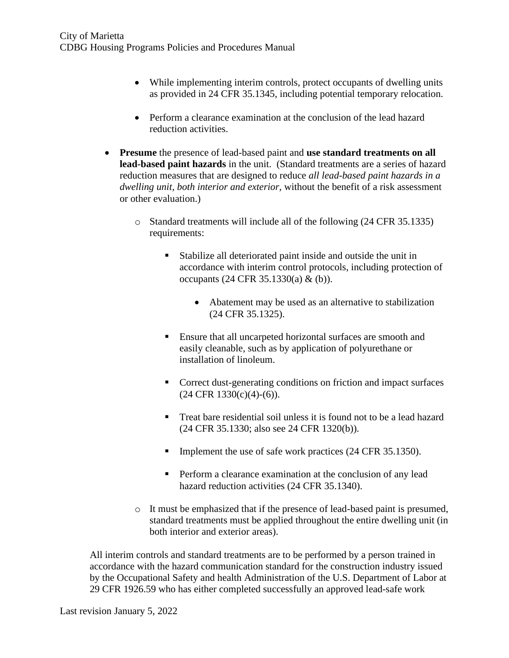- While implementing interim controls, protect occupants of dwelling units as provided in 24 CFR 35.1345, including potential temporary relocation.
- Perform a clearance examination at the conclusion of the lead hazard reduction activities.
- **Presume** the presence of lead-based paint and **use standard treatments on all lead-based paint hazards** in the unit. (Standard treatments are a series of hazard reduction measures that are designed to reduce *all lead-based paint hazards in a dwelling unit, both interior and exterior*, without the benefit of a risk assessment or other evaluation.)
	- o Standard treatments will include all of the following (24 CFR 35.1335) requirements:
		- Stabilize all deteriorated paint inside and outside the unit in accordance with interim control protocols, including protection of occupants (24 CFR 35.1330(a) & (b)).
			- Abatement may be used as an alternative to stabilization (24 CFR 35.1325).
		- Ensure that all uncarpeted horizontal surfaces are smooth and easily cleanable, such as by application of polyurethane or installation of linoleum.
		- Correct dust-generating conditions on friction and impact surfaces  $(24 \text{ CFR } 1330 \text{(c)} \cdot (4) - (6))$ .
		- Treat bare residential soil unless it is found not to be a lead hazard (24 CFR 35.1330; also see 24 CFR 1320(b)).
		- **Implement the use of safe work practices (24 CFR 35.1350).**
		- **•** Perform a clearance examination at the conclusion of any lead hazard reduction activities (24 CFR 35.1340).
	- o It must be emphasized that if the presence of lead-based paint is presumed, standard treatments must be applied throughout the entire dwelling unit (in both interior and exterior areas).

All interim controls and standard treatments are to be performed by a person trained in accordance with the hazard communication standard for the construction industry issued by the Occupational Safety and health Administration of the U.S. Department of Labor at 29 CFR 1926.59 who has either completed successfully an approved lead-safe work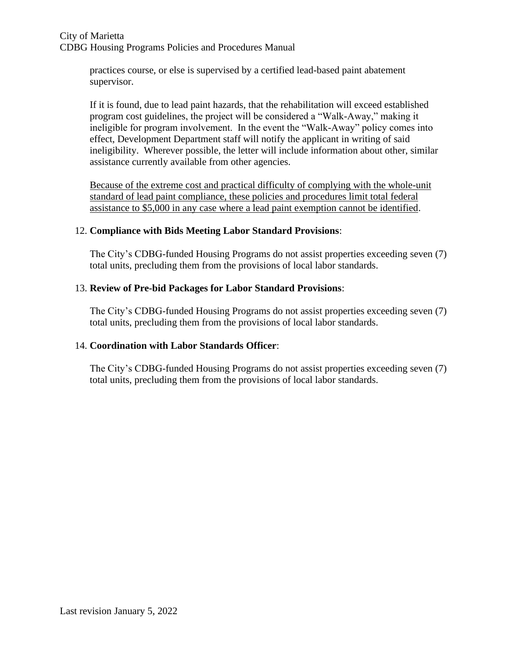practices course, or else is supervised by a certified lead-based paint abatement supervisor.

If it is found, due to lead paint hazards, that the rehabilitation will exceed established program cost guidelines, the project will be considered a "Walk-Away," making it ineligible for program involvement. In the event the "Walk-Away" policy comes into effect, Development Department staff will notify the applicant in writing of said ineligibility. Wherever possible, the letter will include information about other, similar assistance currently available from other agencies.

Because of the extreme cost and practical difficulty of complying with the whole-unit standard of lead paint compliance, these policies and procedures limit total federal assistance to \$5,000 in any case where a lead paint exemption cannot be identified.

# 12. **Compliance with Bids Meeting Labor Standard Provisions**:

The City's CDBG-funded Housing Programs do not assist properties exceeding seven (7) total units, precluding them from the provisions of local labor standards.

# 13. **Review of Pre-bid Packages for Labor Standard Provisions**:

The City's CDBG-funded Housing Programs do not assist properties exceeding seven (7) total units, precluding them from the provisions of local labor standards.

# 14. **Coordination with Labor Standards Officer**:

The City's CDBG-funded Housing Programs do not assist properties exceeding seven (7) total units, precluding them from the provisions of local labor standards.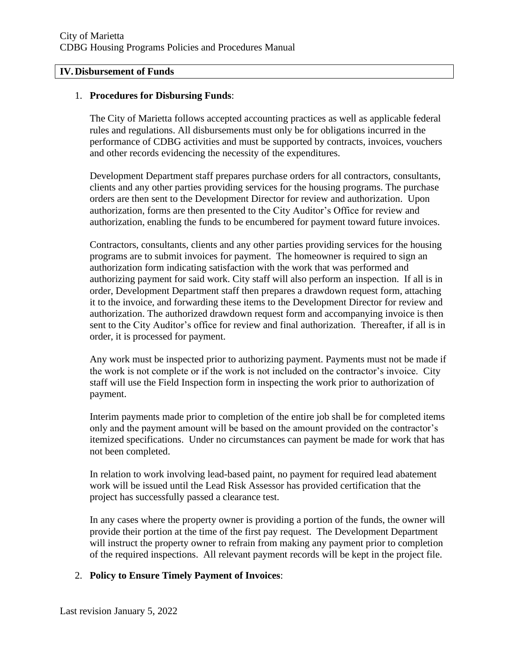#### **IV.Disbursement of Funds**

#### 1. **Procedures for Disbursing Funds**:

The City of Marietta follows accepted accounting practices as well as applicable federal rules and regulations. All disbursements must only be for obligations incurred in the performance of CDBG activities and must be supported by contracts, invoices, vouchers and other records evidencing the necessity of the expenditures.

Development Department staff prepares purchase orders for all contractors, consultants, clients and any other parties providing services for the housing programs. The purchase orders are then sent to the Development Director for review and authorization. Upon authorization, forms are then presented to the City Auditor's Office for review and authorization, enabling the funds to be encumbered for payment toward future invoices.

Contractors, consultants, clients and any other parties providing services for the housing programs are to submit invoices for payment. The homeowner is required to sign an authorization form indicating satisfaction with the work that was performed and authorizing payment for said work. City staff will also perform an inspection. If all is in order, Development Department staff then prepares a drawdown request form, attaching it to the invoice, and forwarding these items to the Development Director for review and authorization. The authorized drawdown request form and accompanying invoice is then sent to the City Auditor's office for review and final authorization. Thereafter, if all is in order, it is processed for payment.

Any work must be inspected prior to authorizing payment. Payments must not be made if the work is not complete or if the work is not included on the contractor's invoice. City staff will use the Field Inspection form in inspecting the work prior to authorization of payment.

Interim payments made prior to completion of the entire job shall be for completed items only and the payment amount will be based on the amount provided on the contractor's itemized specifications. Under no circumstances can payment be made for work that has not been completed.

In relation to work involving lead-based paint, no payment for required lead abatement work will be issued until the Lead Risk Assessor has provided certification that the project has successfully passed a clearance test.

In any cases where the property owner is providing a portion of the funds, the owner will provide their portion at the time of the first pay request. The Development Department will instruct the property owner to refrain from making any payment prior to completion of the required inspections. All relevant payment records will be kept in the project file.

#### 2. **Policy to Ensure Timely Payment of Invoices**: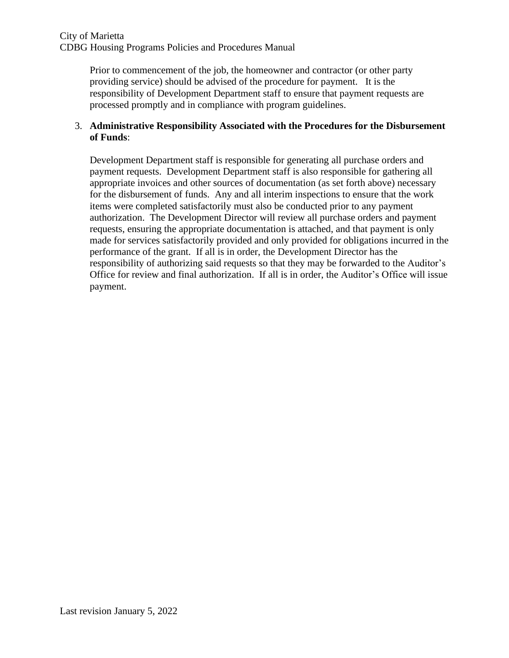Prior to commencement of the job, the homeowner and contractor (or other party providing service) should be advised of the procedure for payment. It is the responsibility of Development Department staff to ensure that payment requests are processed promptly and in compliance with program guidelines.

# 3. **Administrative Responsibility Associated with the Procedures for the Disbursement of Funds**:

Development Department staff is responsible for generating all purchase orders and payment requests. Development Department staff is also responsible for gathering all appropriate invoices and other sources of documentation (as set forth above) necessary for the disbursement of funds. Any and all interim inspections to ensure that the work items were completed satisfactorily must also be conducted prior to any payment authorization. The Development Director will review all purchase orders and payment requests, ensuring the appropriate documentation is attached, and that payment is only made for services satisfactorily provided and only provided for obligations incurred in the performance of the grant. If all is in order, the Development Director has the responsibility of authorizing said requests so that they may be forwarded to the Auditor's Office for review and final authorization. If all is in order, the Auditor's Office will issue payment.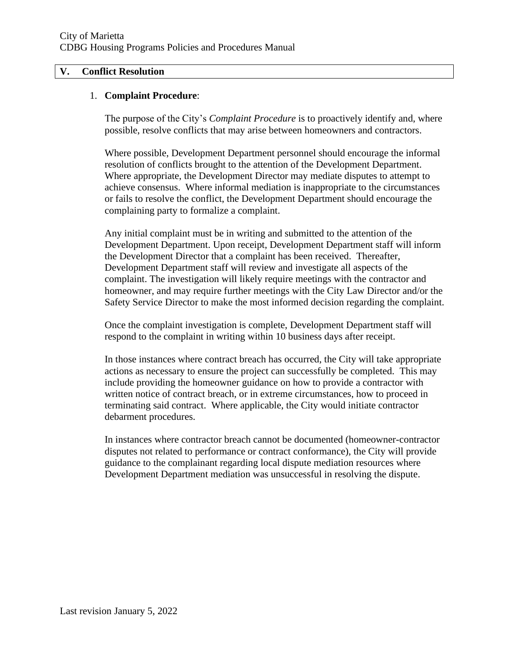#### **V. Conflict Resolution**

#### 1. **Complaint Procedure**:

The purpose of the City's *Complaint Procedure* is to proactively identify and, where possible, resolve conflicts that may arise between homeowners and contractors.

Where possible, Development Department personnel should encourage the informal resolution of conflicts brought to the attention of the Development Department. Where appropriate, the Development Director may mediate disputes to attempt to achieve consensus. Where informal mediation is inappropriate to the circumstances or fails to resolve the conflict, the Development Department should encourage the complaining party to formalize a complaint.

Any initial complaint must be in writing and submitted to the attention of the Development Department. Upon receipt, Development Department staff will inform the Development Director that a complaint has been received. Thereafter, Development Department staff will review and investigate all aspects of the complaint. The investigation will likely require meetings with the contractor and homeowner, and may require further meetings with the City Law Director and/or the Safety Service Director to make the most informed decision regarding the complaint.

Once the complaint investigation is complete, Development Department staff will respond to the complaint in writing within 10 business days after receipt.

In those instances where contract breach has occurred, the City will take appropriate actions as necessary to ensure the project can successfully be completed. This may include providing the homeowner guidance on how to provide a contractor with written notice of contract breach, or in extreme circumstances, how to proceed in terminating said contract. Where applicable, the City would initiate contractor debarment procedures.

In instances where contractor breach cannot be documented (homeowner-contractor disputes not related to performance or contract conformance), the City will provide guidance to the complainant regarding local dispute mediation resources where Development Department mediation was unsuccessful in resolving the dispute.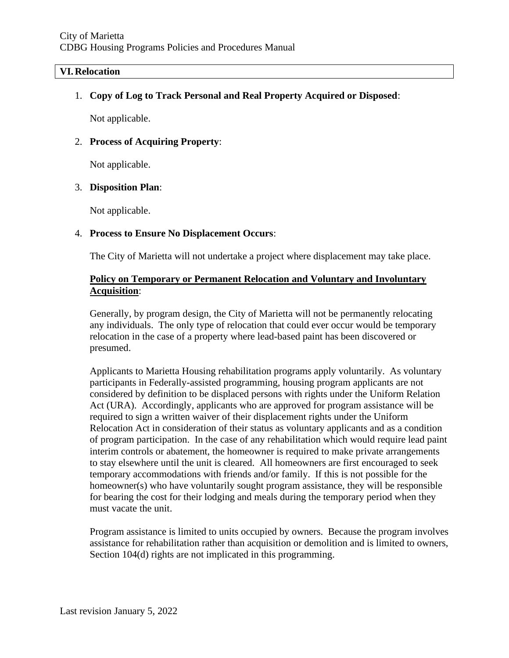#### **VI.Relocation**

1. **Copy of Log to Track Personal and Real Property Acquired or Disposed**:

Not applicable.

#### 2. **Process of Acquiring Property**:

Not applicable.

#### 3. **Disposition Plan**:

Not applicable.

#### 4. **Process to Ensure No Displacement Occurs**:

The City of Marietta will not undertake a project where displacement may take place.

# **Policy on Temporary or Permanent Relocation and Voluntary and Involuntary Acquisition**:

Generally, by program design, the City of Marietta will not be permanently relocating any individuals. The only type of relocation that could ever occur would be temporary relocation in the case of a property where lead-based paint has been discovered or presumed.

Applicants to Marietta Housing rehabilitation programs apply voluntarily. As voluntary participants in Federally-assisted programming, housing program applicants are not considered by definition to be displaced persons with rights under the Uniform Relation Act (URA). Accordingly, applicants who are approved for program assistance will be required to sign a written waiver of their displacement rights under the Uniform Relocation Act in consideration of their status as voluntary applicants and as a condition of program participation. In the case of any rehabilitation which would require lead paint interim controls or abatement, the homeowner is required to make private arrangements to stay elsewhere until the unit is cleared. All homeowners are first encouraged to seek temporary accommodations with friends and/or family. If this is not possible for the homeowner(s) who have voluntarily sought program assistance, they will be responsible for bearing the cost for their lodging and meals during the temporary period when they must vacate the unit.

Program assistance is limited to units occupied by owners. Because the program involves assistance for rehabilitation rather than acquisition or demolition and is limited to owners, Section 104(d) rights are not implicated in this programming.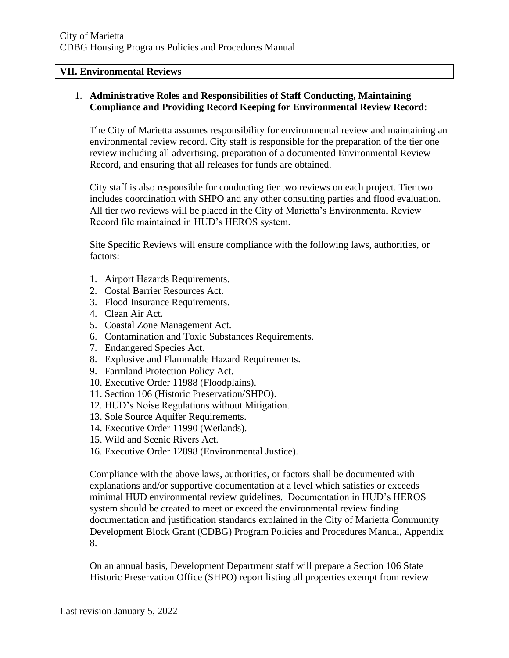#### **VII. Environmental Reviews**

### 1. **Administrative Roles and Responsibilities of Staff Conducting, Maintaining Compliance and Providing Record Keeping for Environmental Review Record**:

The City of Marietta assumes responsibility for environmental review and maintaining an environmental review record. City staff is responsible for the preparation of the tier one review including all advertising, preparation of a documented Environmental Review Record, and ensuring that all releases for funds are obtained.

City staff is also responsible for conducting tier two reviews on each project. Tier two includes coordination with SHPO and any other consulting parties and flood evaluation. All tier two reviews will be placed in the City of Marietta's Environmental Review Record file maintained in HUD's HEROS system.

Site Specific Reviews will ensure compliance with the following laws, authorities, or factors:

- 1. Airport Hazards Requirements.
- 2. Costal Barrier Resources Act.
- 3. Flood Insurance Requirements.
- 4. Clean Air Act.
- 5. Coastal Zone Management Act.
- 6. Contamination and Toxic Substances Requirements.
- 7. Endangered Species Act.
- 8. Explosive and Flammable Hazard Requirements.
- 9. Farmland Protection Policy Act.
- 10. Executive Order 11988 (Floodplains).
- 11. Section 106 (Historic Preservation/SHPO).
- 12. HUD's Noise Regulations without Mitigation.
- 13. Sole Source Aquifer Requirements.
- 14. Executive Order 11990 (Wetlands).
- 15. Wild and Scenic Rivers Act.
- 16. Executive Order 12898 (Environmental Justice).

Compliance with the above laws, authorities, or factors shall be documented with explanations and/or supportive documentation at a level which satisfies or exceeds minimal HUD environmental review guidelines. Documentation in HUD's HEROS system should be created to meet or exceed the environmental review finding documentation and justification standards explained in the City of Marietta Community Development Block Grant (CDBG) Program Policies and Procedures Manual, Appendix 8.

On an annual basis, Development Department staff will prepare a Section 106 State Historic Preservation Office (SHPO) report listing all properties exempt from review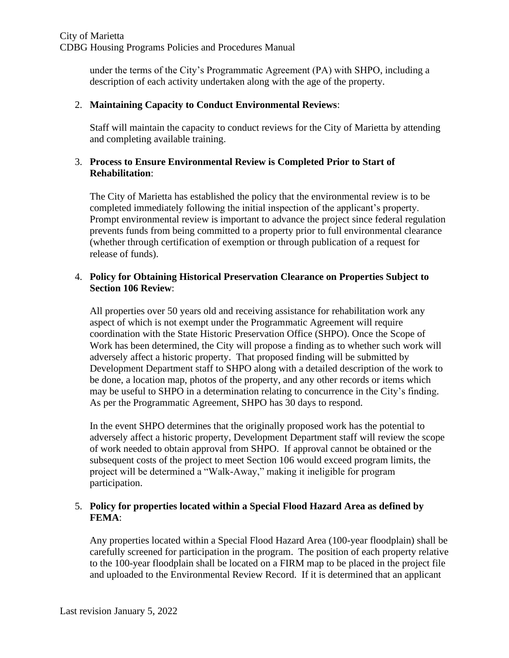under the terms of the City's Programmatic Agreement (PA) with SHPO, including a description of each activity undertaken along with the age of the property.

# 2. **Maintaining Capacity to Conduct Environmental Reviews**:

Staff will maintain the capacity to conduct reviews for the City of Marietta by attending and completing available training.

# 3. **Process to Ensure Environmental Review is Completed Prior to Start of Rehabilitation**:

The City of Marietta has established the policy that the environmental review is to be completed immediately following the initial inspection of the applicant's property. Prompt environmental review is important to advance the project since federal regulation prevents funds from being committed to a property prior to full environmental clearance (whether through certification of exemption or through publication of a request for release of funds).

# 4. **Policy for Obtaining Historical Preservation Clearance on Properties Subject to Section 106 Review**:

All properties over 50 years old and receiving assistance for rehabilitation work any aspect of which is not exempt under the Programmatic Agreement will require coordination with the State Historic Preservation Office (SHPO). Once the Scope of Work has been determined, the City will propose a finding as to whether such work will adversely affect a historic property. That proposed finding will be submitted by Development Department staff to SHPO along with a detailed description of the work to be done, a location map, photos of the property, and any other records or items which may be useful to SHPO in a determination relating to concurrence in the City's finding. As per the Programmatic Agreement, SHPO has 30 days to respond.

In the event SHPO determines that the originally proposed work has the potential to adversely affect a historic property, Development Department staff will review the scope of work needed to obtain approval from SHPO. If approval cannot be obtained or the subsequent costs of the project to meet Section 106 would exceed program limits, the project will be determined a "Walk-Away," making it ineligible for program participation.

# 5. **Policy for properties located within a Special Flood Hazard Area as defined by FEMA**:

Any properties located within a Special Flood Hazard Area (100-year floodplain) shall be carefully screened for participation in the program. The position of each property relative to the 100-year floodplain shall be located on a FIRM map to be placed in the project file and uploaded to the Environmental Review Record. If it is determined that an applicant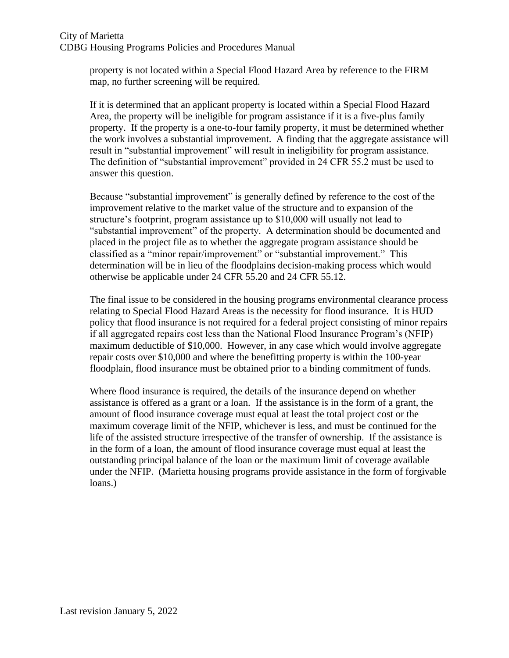property is not located within a Special Flood Hazard Area by reference to the FIRM map, no further screening will be required.

If it is determined that an applicant property is located within a Special Flood Hazard Area, the property will be ineligible for program assistance if it is a five-plus family property. If the property is a one-to-four family property, it must be determined whether the work involves a substantial improvement. A finding that the aggregate assistance will result in "substantial improvement" will result in ineligibility for program assistance. The definition of "substantial improvement" provided in 24 CFR 55.2 must be used to answer this question.

Because "substantial improvement" is generally defined by reference to the cost of the improvement relative to the market value of the structure and to expansion of the structure's footprint, program assistance up to \$10,000 will usually not lead to "substantial improvement" of the property. A determination should be documented and placed in the project file as to whether the aggregate program assistance should be classified as a "minor repair/improvement" or "substantial improvement." This determination will be in lieu of the floodplains decision-making process which would otherwise be applicable under 24 CFR 55.20 and 24 CFR 55.12.

The final issue to be considered in the housing programs environmental clearance process relating to Special Flood Hazard Areas is the necessity for flood insurance. It is HUD policy that flood insurance is not required for a federal project consisting of minor repairs if all aggregated repairs cost less than the National Flood Insurance Program's (NFIP) maximum deductible of \$10,000. However, in any case which would involve aggregate repair costs over \$10,000 and where the benefitting property is within the 100-year floodplain, flood insurance must be obtained prior to a binding commitment of funds.

Where flood insurance is required, the details of the insurance depend on whether assistance is offered as a grant or a loan. If the assistance is in the form of a grant, the amount of flood insurance coverage must equal at least the total project cost or the maximum coverage limit of the NFIP, whichever is less, and must be continued for the life of the assisted structure irrespective of the transfer of ownership. If the assistance is in the form of a loan, the amount of flood insurance coverage must equal at least the outstanding principal balance of the loan or the maximum limit of coverage available under the NFIP. (Marietta housing programs provide assistance in the form of forgivable loans.)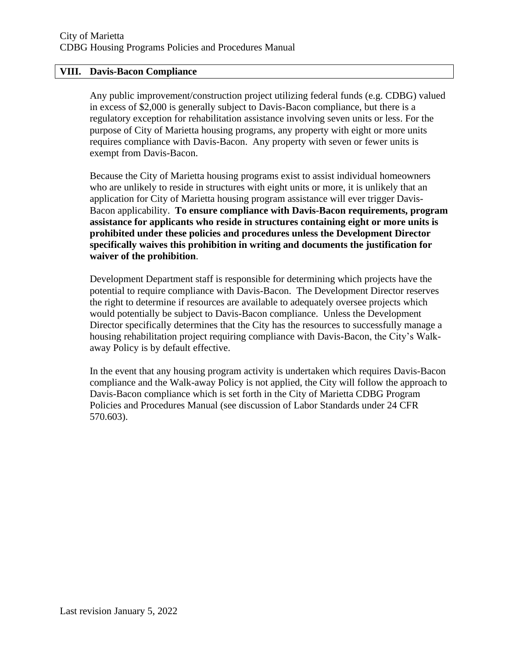#### **VIII. Davis-Bacon Compliance**

Any public improvement/construction project utilizing federal funds (e.g. CDBG) valued in excess of \$2,000 is generally subject to Davis-Bacon compliance, but there is a regulatory exception for rehabilitation assistance involving seven units or less. For the purpose of City of Marietta housing programs, any property with eight or more units requires compliance with Davis-Bacon. Any property with seven or fewer units is exempt from Davis-Bacon.

Because the City of Marietta housing programs exist to assist individual homeowners who are unlikely to reside in structures with eight units or more, it is unlikely that an application for City of Marietta housing program assistance will ever trigger Davis-Bacon applicability. **To ensure compliance with Davis-Bacon requirements, program assistance for applicants who reside in structures containing eight or more units is prohibited under these policies and procedures unless the Development Director specifically waives this prohibition in writing and documents the justification for waiver of the prohibition**.

Development Department staff is responsible for determining which projects have the potential to require compliance with Davis-Bacon. The Development Director reserves the right to determine if resources are available to adequately oversee projects which would potentially be subject to Davis-Bacon compliance. Unless the Development Director specifically determines that the City has the resources to successfully manage a housing rehabilitation project requiring compliance with Davis-Bacon, the City's Walkaway Policy is by default effective.

In the event that any housing program activity is undertaken which requires Davis-Bacon compliance and the Walk-away Policy is not applied, the City will follow the approach to Davis-Bacon compliance which is set forth in the City of Marietta CDBG Program Policies and Procedures Manual (see discussion of Labor Standards under 24 CFR 570.603).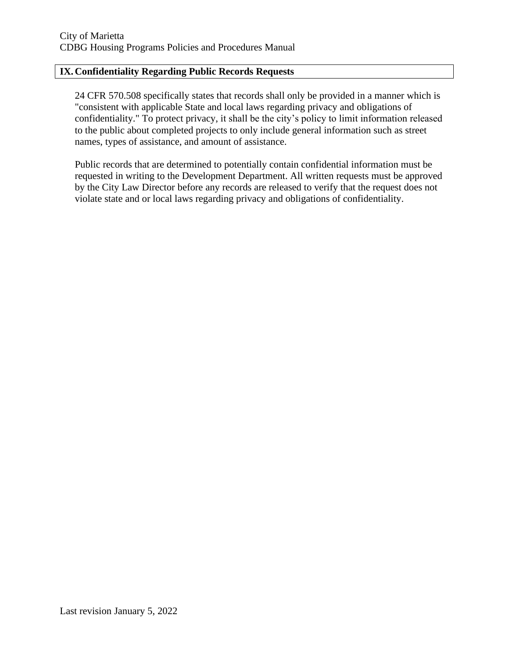# **IX.Confidentiality Regarding Public Records Requests**

24 CFR 570.508 specifically states that records shall only be provided in a manner which is "consistent with applicable State and local laws regarding privacy and obligations of confidentiality." To protect privacy, it shall be the city's policy to limit information released to the public about completed projects to only include general information such as street names, types of assistance, and amount of assistance.

Public records that are determined to potentially contain confidential information must be requested in writing to the Development Department. All written requests must be approved by the City Law Director before any records are released to verify that the request does not violate state and or local laws regarding privacy and obligations of confidentiality.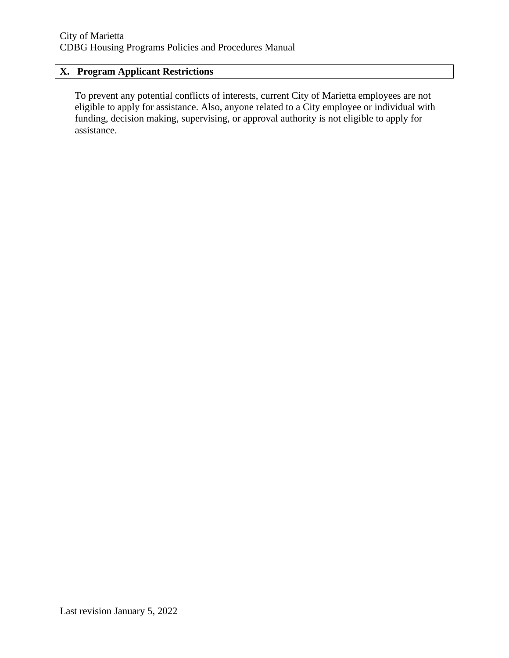# **X. Program Applicant Restrictions**

To prevent any potential conflicts of interests, current City of Marietta employees are not eligible to apply for assistance. Also, anyone related to a City employee or individual with funding, decision making, supervising, or approval authority is not eligible to apply for assistance.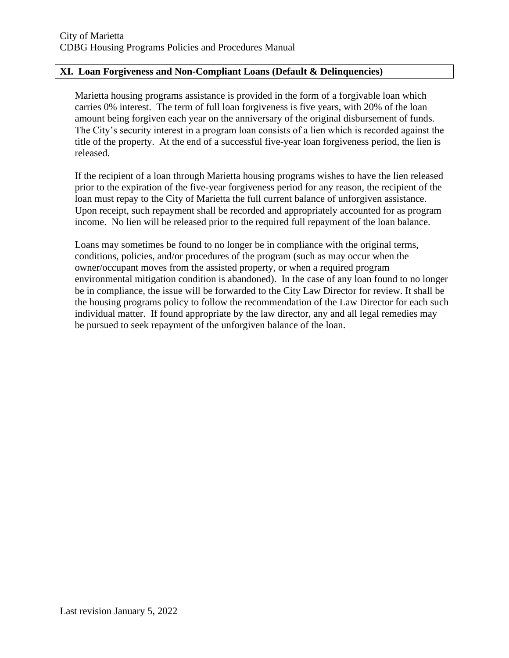### **XI. Loan Forgiveness and Non-Compliant Loans (Default & Delinquencies)**

Marietta housing programs assistance is provided in the form of a forgivable loan which carries 0% interest. The term of full loan forgiveness is five years, with 20% of the loan amount being forgiven each year on the anniversary of the original disbursement of funds. The City's security interest in a program loan consists of a lien which is recorded against the title of the property. At the end of a successful five-year loan forgiveness period, the lien is released.

If the recipient of a loan through Marietta housing programs wishes to have the lien released prior to the expiration of the five-year forgiveness period for any reason, the recipient of the loan must repay to the City of Marietta the full current balance of unforgiven assistance. Upon receipt, such repayment shall be recorded and appropriately accounted for as program income. No lien will be released prior to the required full repayment of the loan balance.

Loans may sometimes be found to no longer be in compliance with the original terms, conditions, policies, and/or procedures of the program (such as may occur when the owner/occupant moves from the assisted property, or when a required program environmental mitigation condition is abandoned). In the case of any loan found to no longer be in compliance, the issue will be forwarded to the City Law Director for review. It shall be the housing programs policy to follow the recommendation of the Law Director for each such individual matter. If found appropriate by the law director, any and all legal remedies may be pursued to seek repayment of the unforgiven balance of the loan.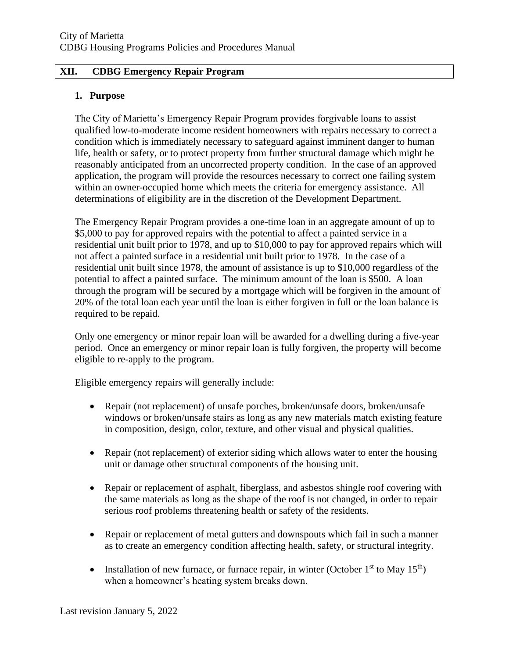#### **XII. CDBG Emergency Repair Program**

#### **1. Purpose**

The City of Marietta's Emergency Repair Program provides forgivable loans to assist qualified low-to-moderate income resident homeowners with repairs necessary to correct a condition which is immediately necessary to safeguard against imminent danger to human life, health or safety, or to protect property from further structural damage which might be reasonably anticipated from an uncorrected property condition. In the case of an approved application, the program will provide the resources necessary to correct one failing system within an owner-occupied home which meets the criteria for emergency assistance. All determinations of eligibility are in the discretion of the Development Department.

The Emergency Repair Program provides a one-time loan in an aggregate amount of up to \$5,000 to pay for approved repairs with the potential to affect a painted service in a residential unit built prior to 1978, and up to \$10,000 to pay for approved repairs which will not affect a painted surface in a residential unit built prior to 1978. In the case of a residential unit built since 1978, the amount of assistance is up to \$10,000 regardless of the potential to affect a painted surface. The minimum amount of the loan is \$500. A loan through the program will be secured by a mortgage which will be forgiven in the amount of 20% of the total loan each year until the loan is either forgiven in full or the loan balance is required to be repaid.

Only one emergency or minor repair loan will be awarded for a dwelling during a five-year period. Once an emergency or minor repair loan is fully forgiven, the property will become eligible to re-apply to the program.

Eligible emergency repairs will generally include:

- Repair (not replacement) of unsafe porches, broken/unsafe doors, broken/unsafe windows or broken/unsafe stairs as long as any new materials match existing feature in composition, design, color, texture, and other visual and physical qualities.
- Repair (not replacement) of exterior siding which allows water to enter the housing unit or damage other structural components of the housing unit.
- Repair or replacement of asphalt, fiberglass, and asbestos shingle roof covering with the same materials as long as the shape of the roof is not changed, in order to repair serious roof problems threatening health or safety of the residents.
- Repair or replacement of metal gutters and downspouts which fail in such a manner as to create an emergency condition affecting health, safety, or structural integrity.
- Installation of new furnace, or furnace repair, in winter (October  $1<sup>st</sup>$  to May  $15<sup>th</sup>$ ) when a homeowner's heating system breaks down.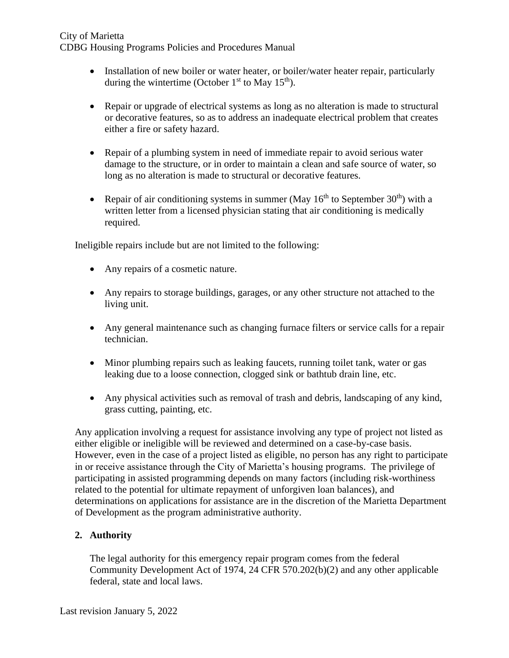- Installation of new boiler or water heater, or boiler/water heater repair, particularly during the wintertime (October  $1<sup>st</sup>$  to May  $15<sup>th</sup>$ ).
- Repair or upgrade of electrical systems as long as no alteration is made to structural or decorative features, so as to address an inadequate electrical problem that creates either a fire or safety hazard.
- Repair of a plumbing system in need of immediate repair to avoid serious water damage to the structure, or in order to maintain a clean and safe source of water, so long as no alteration is made to structural or decorative features.
- Repair of air conditioning systems in summer (May  $16<sup>th</sup>$  to September 30<sup>th</sup>) with a written letter from a licensed physician stating that air conditioning is medically required.

Ineligible repairs include but are not limited to the following:

- Any repairs of a cosmetic nature.
- Any repairs to storage buildings, garages, or any other structure not attached to the living unit.
- Any general maintenance such as changing furnace filters or service calls for a repair technician.
- Minor plumbing repairs such as leaking faucets, running toilet tank, water or gas leaking due to a loose connection, clogged sink or bathtub drain line, etc.
- Any physical activities such as removal of trash and debris, landscaping of any kind, grass cutting, painting, etc.

Any application involving a request for assistance involving any type of project not listed as either eligible or ineligible will be reviewed and determined on a case-by-case basis. However, even in the case of a project listed as eligible, no person has any right to participate in or receive assistance through the City of Marietta's housing programs. The privilege of participating in assisted programming depends on many factors (including risk-worthiness related to the potential for ultimate repayment of unforgiven loan balances), and determinations on applications for assistance are in the discretion of the Marietta Department of Development as the program administrative authority.

# **2. Authority**

The legal authority for this emergency repair program comes from the federal Community Development Act of 1974, 24 CFR 570.202(b)(2) and any other applicable federal, state and local laws.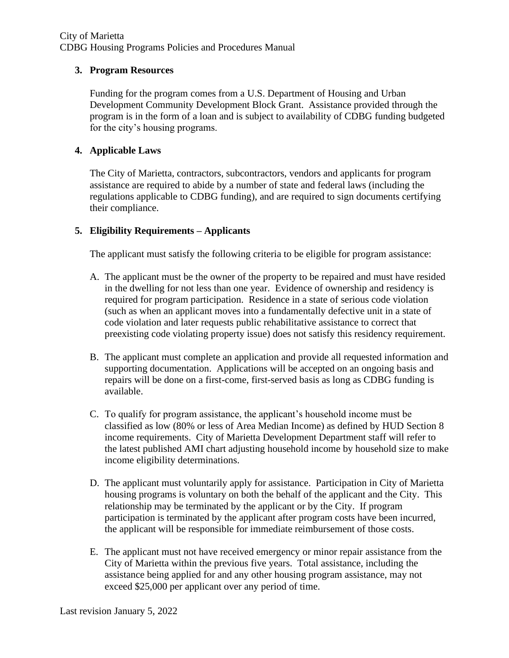### **3. Program Resources**

Funding for the program comes from a U.S. Department of Housing and Urban Development Community Development Block Grant. Assistance provided through the program is in the form of a loan and is subject to availability of CDBG funding budgeted for the city's housing programs.

### **4. Applicable Laws**

The City of Marietta, contractors, subcontractors, vendors and applicants for program assistance are required to abide by a number of state and federal laws (including the regulations applicable to CDBG funding), and are required to sign documents certifying their compliance.

# **5. Eligibility Requirements – Applicants**

The applicant must satisfy the following criteria to be eligible for program assistance:

- A. The applicant must be the owner of the property to be repaired and must have resided in the dwelling for not less than one year. Evidence of ownership and residency is required for program participation. Residence in a state of serious code violation (such as when an applicant moves into a fundamentally defective unit in a state of code violation and later requests public rehabilitative assistance to correct that preexisting code violating property issue) does not satisfy this residency requirement.
- B. The applicant must complete an application and provide all requested information and supporting documentation. Applications will be accepted on an ongoing basis and repairs will be done on a first-come, first-served basis as long as CDBG funding is available.
- C. To qualify for program assistance, the applicant's household income must be classified as low (80% or less of Area Median Income) as defined by HUD Section 8 income requirements. City of Marietta Development Department staff will refer to the latest published AMI chart adjusting household income by household size to make income eligibility determinations.
- D. The applicant must voluntarily apply for assistance. Participation in City of Marietta housing programs is voluntary on both the behalf of the applicant and the City. This relationship may be terminated by the applicant or by the City. If program participation is terminated by the applicant after program costs have been incurred, the applicant will be responsible for immediate reimbursement of those costs.
- E. The applicant must not have received emergency or minor repair assistance from the City of Marietta within the previous five years. Total assistance, including the assistance being applied for and any other housing program assistance, may not exceed \$25,000 per applicant over any period of time.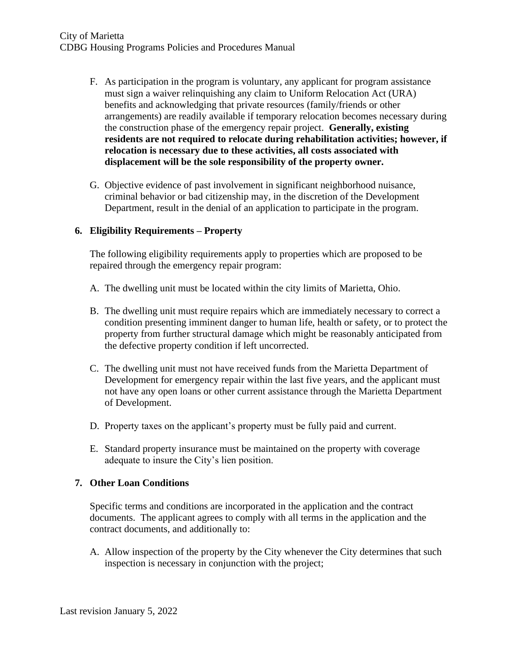- F. As participation in the program is voluntary, any applicant for program assistance must sign a waiver relinquishing any claim to Uniform Relocation Act (URA) benefits and acknowledging that private resources (family/friends or other arrangements) are readily available if temporary relocation becomes necessary during the construction phase of the emergency repair project. **Generally, existing residents are not required to relocate during rehabilitation activities; however, if relocation is necessary due to these activities, all costs associated with displacement will be the sole responsibility of the property owner.**
- G. Objective evidence of past involvement in significant neighborhood nuisance, criminal behavior or bad citizenship may, in the discretion of the Development Department, result in the denial of an application to participate in the program.

# **6. Eligibility Requirements – Property**

The following eligibility requirements apply to properties which are proposed to be repaired through the emergency repair program:

- A. The dwelling unit must be located within the city limits of Marietta, Ohio.
- B. The dwelling unit must require repairs which are immediately necessary to correct a condition presenting imminent danger to human life, health or safety, or to protect the property from further structural damage which might be reasonably anticipated from the defective property condition if left uncorrected.
- C. The dwelling unit must not have received funds from the Marietta Department of Development for emergency repair within the last five years, and the applicant must not have any open loans or other current assistance through the Marietta Department of Development.
- D. Property taxes on the applicant's property must be fully paid and current.
- E. Standard property insurance must be maintained on the property with coverage adequate to insure the City's lien position.

# **7. Other Loan Conditions**

Specific terms and conditions are incorporated in the application and the contract documents. The applicant agrees to comply with all terms in the application and the contract documents, and additionally to:

A. Allow inspection of the property by the City whenever the City determines that such inspection is necessary in conjunction with the project;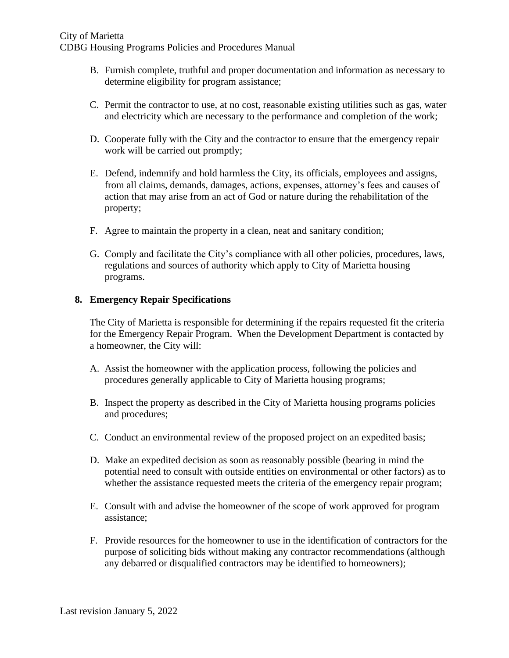- B. Furnish complete, truthful and proper documentation and information as necessary to determine eligibility for program assistance;
- C. Permit the contractor to use, at no cost, reasonable existing utilities such as gas, water and electricity which are necessary to the performance and completion of the work;
- D. Cooperate fully with the City and the contractor to ensure that the emergency repair work will be carried out promptly;
- E. Defend, indemnify and hold harmless the City, its officials, employees and assigns, from all claims, demands, damages, actions, expenses, attorney's fees and causes of action that may arise from an act of God or nature during the rehabilitation of the property;
- F. Agree to maintain the property in a clean, neat and sanitary condition;
- G. Comply and facilitate the City's compliance with all other policies, procedures, laws, regulations and sources of authority which apply to City of Marietta housing programs.

#### **8. Emergency Repair Specifications**

The City of Marietta is responsible for determining if the repairs requested fit the criteria for the Emergency Repair Program. When the Development Department is contacted by a homeowner, the City will:

- A. Assist the homeowner with the application process, following the policies and procedures generally applicable to City of Marietta housing programs;
- B. Inspect the property as described in the City of Marietta housing programs policies and procedures;
- C. Conduct an environmental review of the proposed project on an expedited basis;
- D. Make an expedited decision as soon as reasonably possible (bearing in mind the potential need to consult with outside entities on environmental or other factors) as to whether the assistance requested meets the criteria of the emergency repair program;
- E. Consult with and advise the homeowner of the scope of work approved for program assistance;
- F. Provide resources for the homeowner to use in the identification of contractors for the purpose of soliciting bids without making any contractor recommendations (although any debarred or disqualified contractors may be identified to homeowners);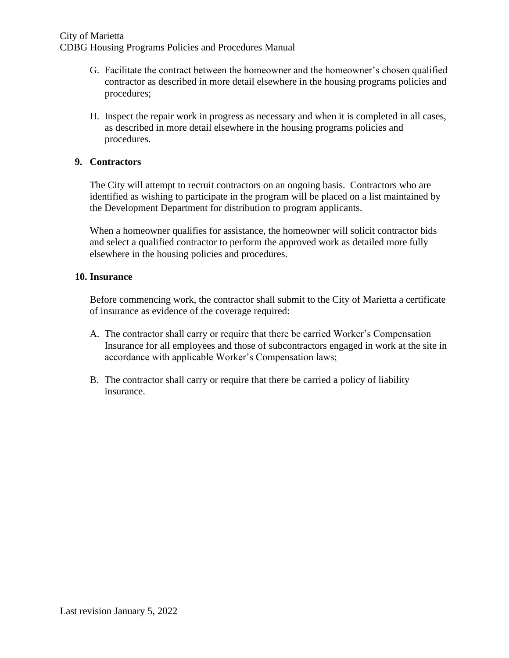- G. Facilitate the contract between the homeowner and the homeowner's chosen qualified contractor as described in more detail elsewhere in the housing programs policies and procedures;
- H. Inspect the repair work in progress as necessary and when it is completed in all cases, as described in more detail elsewhere in the housing programs policies and procedures.

# **9. Contractors**

The City will attempt to recruit contractors on an ongoing basis. Contractors who are identified as wishing to participate in the program will be placed on a list maintained by the Development Department for distribution to program applicants.

When a homeowner qualifies for assistance, the homeowner will solicit contractor bids and select a qualified contractor to perform the approved work as detailed more fully elsewhere in the housing policies and procedures.

#### **10. Insurance**

Before commencing work, the contractor shall submit to the City of Marietta a certificate of insurance as evidence of the coverage required:

- A. The contractor shall carry or require that there be carried Worker's Compensation Insurance for all employees and those of subcontractors engaged in work at the site in accordance with applicable Worker's Compensation laws;
- B. The contractor shall carry or require that there be carried a policy of liability insurance.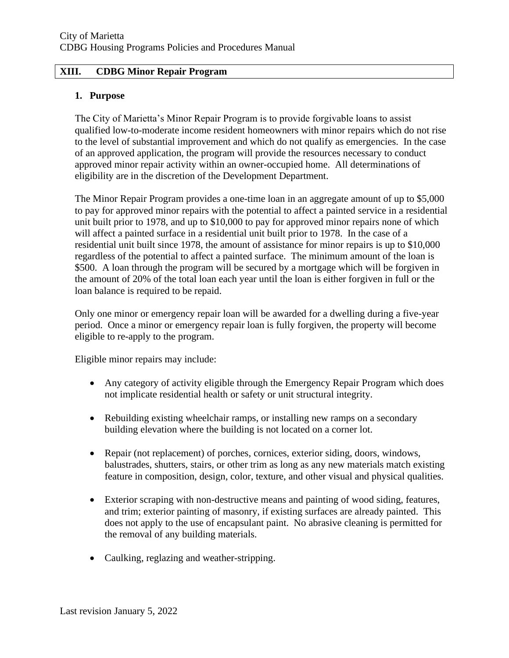### **XIII. CDBG Minor Repair Program**

#### **1. Purpose**

The City of Marietta's Minor Repair Program is to provide forgivable loans to assist qualified low-to-moderate income resident homeowners with minor repairs which do not rise to the level of substantial improvement and which do not qualify as emergencies. In the case of an approved application, the program will provide the resources necessary to conduct approved minor repair activity within an owner-occupied home. All determinations of eligibility are in the discretion of the Development Department.

The Minor Repair Program provides a one-time loan in an aggregate amount of up to \$5,000 to pay for approved minor repairs with the potential to affect a painted service in a residential unit built prior to 1978, and up to \$10,000 to pay for approved minor repairs none of which will affect a painted surface in a residential unit built prior to 1978. In the case of a residential unit built since 1978, the amount of assistance for minor repairs is up to \$10,000 regardless of the potential to affect a painted surface. The minimum amount of the loan is \$500. A loan through the program will be secured by a mortgage which will be forgiven in the amount of 20% of the total loan each year until the loan is either forgiven in full or the loan balance is required to be repaid.

Only one minor or emergency repair loan will be awarded for a dwelling during a five-year period. Once a minor or emergency repair loan is fully forgiven, the property will become eligible to re-apply to the program.

Eligible minor repairs may include:

- Any category of activity eligible through the Emergency Repair Program which does not implicate residential health or safety or unit structural integrity.
- Rebuilding existing wheelchair ramps, or installing new ramps on a secondary building elevation where the building is not located on a corner lot.
- Repair (not replacement) of porches, cornices, exterior siding, doors, windows, balustrades, shutters, stairs, or other trim as long as any new materials match existing feature in composition, design, color, texture, and other visual and physical qualities.
- Exterior scraping with non-destructive means and painting of wood siding, features, and trim; exterior painting of masonry, if existing surfaces are already painted. This does not apply to the use of encapsulant paint. No abrasive cleaning is permitted for the removal of any building materials.
- Caulking, reglazing and weather-stripping.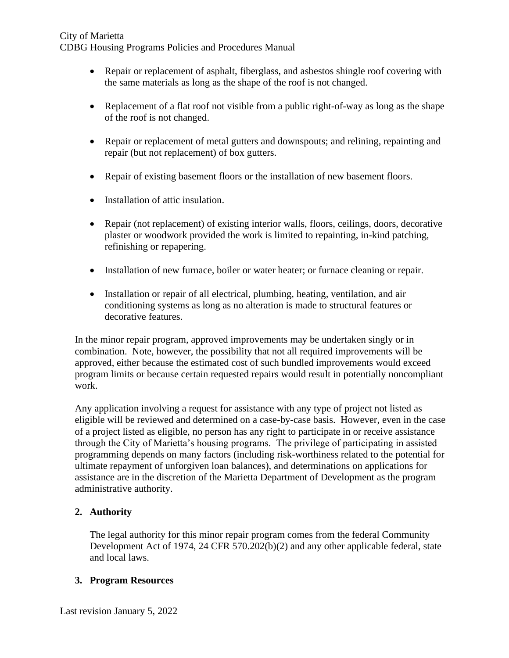- Repair or replacement of asphalt, fiberglass, and asbestos shingle roof covering with the same materials as long as the shape of the roof is not changed.
- Replacement of a flat roof not visible from a public right-of-way as long as the shape of the roof is not changed.
- Repair or replacement of metal gutters and downspouts; and relining, repainting and repair (but not replacement) of box gutters.
- Repair of existing basement floors or the installation of new basement floors.
- Installation of attic insulation.
- Repair (not replacement) of existing interior walls, floors, ceilings, doors, decorative plaster or woodwork provided the work is limited to repainting, in-kind patching, refinishing or repapering.
- Installation of new furnace, boiler or water heater; or furnace cleaning or repair.
- Installation or repair of all electrical, plumbing, heating, ventilation, and air conditioning systems as long as no alteration is made to structural features or decorative features.

In the minor repair program, approved improvements may be undertaken singly or in combination. Note, however, the possibility that not all required improvements will be approved, either because the estimated cost of such bundled improvements would exceed program limits or because certain requested repairs would result in potentially noncompliant work.

Any application involving a request for assistance with any type of project not listed as eligible will be reviewed and determined on a case-by-case basis. However, even in the case of a project listed as eligible, no person has any right to participate in or receive assistance through the City of Marietta's housing programs. The privilege of participating in assisted programming depends on many factors (including risk-worthiness related to the potential for ultimate repayment of unforgiven loan balances), and determinations on applications for assistance are in the discretion of the Marietta Department of Development as the program administrative authority.

# **2. Authority**

The legal authority for this minor repair program comes from the federal Community Development Act of 1974, 24 CFR 570.202(b)(2) and any other applicable federal, state and local laws.

# **3. Program Resources**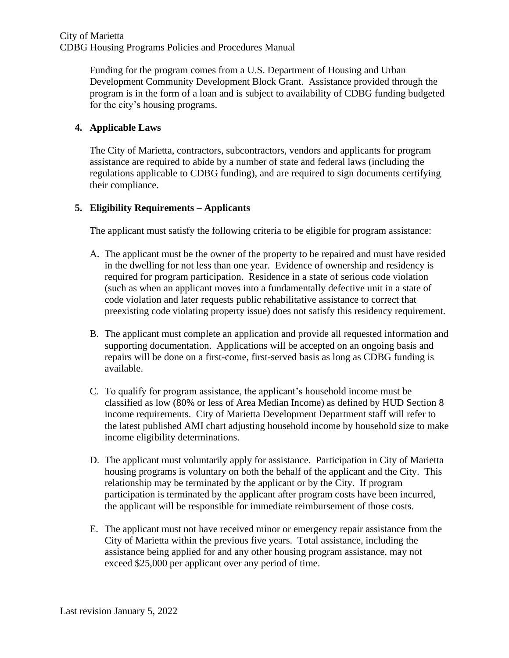Funding for the program comes from a U.S. Department of Housing and Urban Development Community Development Block Grant. Assistance provided through the program is in the form of a loan and is subject to availability of CDBG funding budgeted for the city's housing programs.

# **4. Applicable Laws**

The City of Marietta, contractors, subcontractors, vendors and applicants for program assistance are required to abide by a number of state and federal laws (including the regulations applicable to CDBG funding), and are required to sign documents certifying their compliance.

# **5. Eligibility Requirements – Applicants**

The applicant must satisfy the following criteria to be eligible for program assistance:

- A. The applicant must be the owner of the property to be repaired and must have resided in the dwelling for not less than one year. Evidence of ownership and residency is required for program participation. Residence in a state of serious code violation (such as when an applicant moves into a fundamentally defective unit in a state of code violation and later requests public rehabilitative assistance to correct that preexisting code violating property issue) does not satisfy this residency requirement.
- B. The applicant must complete an application and provide all requested information and supporting documentation. Applications will be accepted on an ongoing basis and repairs will be done on a first-come, first-served basis as long as CDBG funding is available.
- C. To qualify for program assistance, the applicant's household income must be classified as low (80% or less of Area Median Income) as defined by HUD Section 8 income requirements. City of Marietta Development Department staff will refer to the latest published AMI chart adjusting household income by household size to make income eligibility determinations.
- D. The applicant must voluntarily apply for assistance. Participation in City of Marietta housing programs is voluntary on both the behalf of the applicant and the City. This relationship may be terminated by the applicant or by the City. If program participation is terminated by the applicant after program costs have been incurred, the applicant will be responsible for immediate reimbursement of those costs.
- E. The applicant must not have received minor or emergency repair assistance from the City of Marietta within the previous five years. Total assistance, including the assistance being applied for and any other housing program assistance, may not exceed \$25,000 per applicant over any period of time.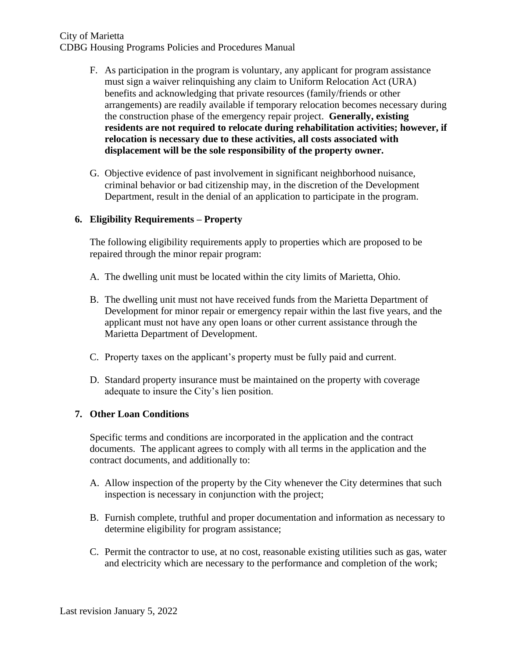- F. As participation in the program is voluntary, any applicant for program assistance must sign a waiver relinquishing any claim to Uniform Relocation Act (URA) benefits and acknowledging that private resources (family/friends or other arrangements) are readily available if temporary relocation becomes necessary during the construction phase of the emergency repair project. **Generally, existing residents are not required to relocate during rehabilitation activities; however, if relocation is necessary due to these activities, all costs associated with displacement will be the sole responsibility of the property owner.**
- G. Objective evidence of past involvement in significant neighborhood nuisance, criminal behavior or bad citizenship may, in the discretion of the Development Department, result in the denial of an application to participate in the program.

# **6. Eligibility Requirements – Property**

The following eligibility requirements apply to properties which are proposed to be repaired through the minor repair program:

- A. The dwelling unit must be located within the city limits of Marietta, Ohio.
- B. The dwelling unit must not have received funds from the Marietta Department of Development for minor repair or emergency repair within the last five years, and the applicant must not have any open loans or other current assistance through the Marietta Department of Development.
- C. Property taxes on the applicant's property must be fully paid and current.
- D. Standard property insurance must be maintained on the property with coverage adequate to insure the City's lien position.

# **7. Other Loan Conditions**

Specific terms and conditions are incorporated in the application and the contract documents. The applicant agrees to comply with all terms in the application and the contract documents, and additionally to:

- A. Allow inspection of the property by the City whenever the City determines that such inspection is necessary in conjunction with the project;
- B. Furnish complete, truthful and proper documentation and information as necessary to determine eligibility for program assistance;
- C. Permit the contractor to use, at no cost, reasonable existing utilities such as gas, water and electricity which are necessary to the performance and completion of the work;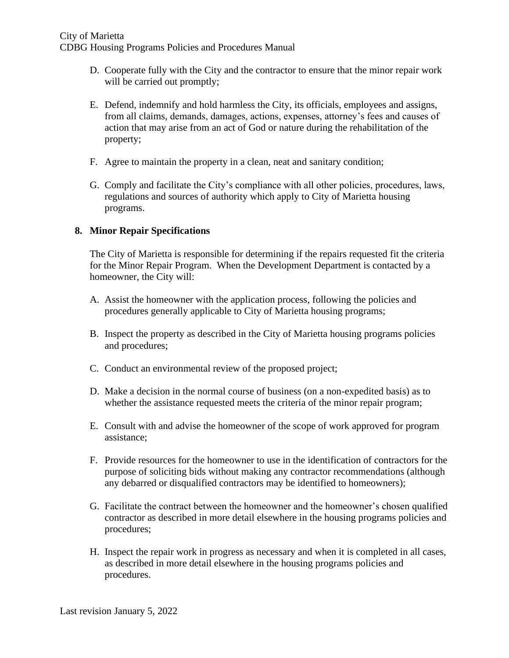- D. Cooperate fully with the City and the contractor to ensure that the minor repair work will be carried out promptly;
- E. Defend, indemnify and hold harmless the City, its officials, employees and assigns, from all claims, demands, damages, actions, expenses, attorney's fees and causes of action that may arise from an act of God or nature during the rehabilitation of the property;
- F. Agree to maintain the property in a clean, neat and sanitary condition;
- G. Comply and facilitate the City's compliance with all other policies, procedures, laws, regulations and sources of authority which apply to City of Marietta housing programs.

# **8. Minor Repair Specifications**

The City of Marietta is responsible for determining if the repairs requested fit the criteria for the Minor Repair Program. When the Development Department is contacted by a homeowner, the City will:

- A. Assist the homeowner with the application process, following the policies and procedures generally applicable to City of Marietta housing programs;
- B. Inspect the property as described in the City of Marietta housing programs policies and procedures;
- C. Conduct an environmental review of the proposed project;
- D. Make a decision in the normal course of business (on a non-expedited basis) as to whether the assistance requested meets the criteria of the minor repair program;
- E. Consult with and advise the homeowner of the scope of work approved for program assistance;
- F. Provide resources for the homeowner to use in the identification of contractors for the purpose of soliciting bids without making any contractor recommendations (although any debarred or disqualified contractors may be identified to homeowners);
- G. Facilitate the contract between the homeowner and the homeowner's chosen qualified contractor as described in more detail elsewhere in the housing programs policies and procedures;
- H. Inspect the repair work in progress as necessary and when it is completed in all cases, as described in more detail elsewhere in the housing programs policies and procedures.